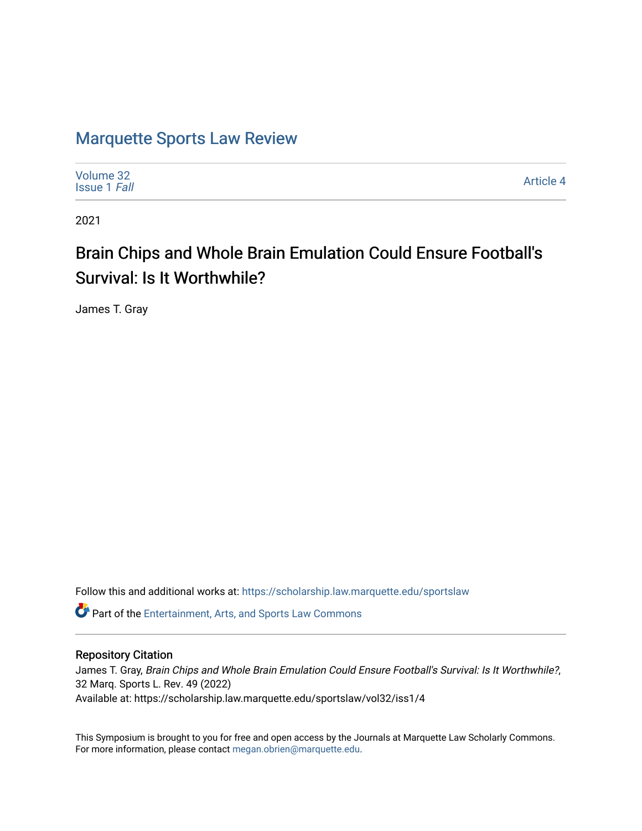# [Marquette Sports Law Review](https://scholarship.law.marquette.edu/sportslaw)

| Volume 32<br><b>Issue 1 Fall</b> | <b>Article 4</b> |
|----------------------------------|------------------|
|----------------------------------|------------------|

2021

# Brain Chips and Whole Brain Emulation Could Ensure Football's Survival: Is It Worthwhile?

James T. Gray

Follow this and additional works at: [https://scholarship.law.marquette.edu/sportslaw](https://scholarship.law.marquette.edu/sportslaw?utm_source=scholarship.law.marquette.edu%2Fsportslaw%2Fvol32%2Fiss1%2F4&utm_medium=PDF&utm_campaign=PDFCoverPages) 

Part of the [Entertainment, Arts, and Sports Law Commons](http://network.bepress.com/hgg/discipline/893?utm_source=scholarship.law.marquette.edu%2Fsportslaw%2Fvol32%2Fiss1%2F4&utm_medium=PDF&utm_campaign=PDFCoverPages)

## Repository Citation

James T. Gray, Brain Chips and Whole Brain Emulation Could Ensure Football's Survival: Is It Worthwhile?, 32 Marq. Sports L. Rev. 49 (2022) Available at: https://scholarship.law.marquette.edu/sportslaw/vol32/iss1/4

This Symposium is brought to you for free and open access by the Journals at Marquette Law Scholarly Commons. For more information, please contact [megan.obrien@marquette.edu](mailto:megan.obrien@marquette.edu).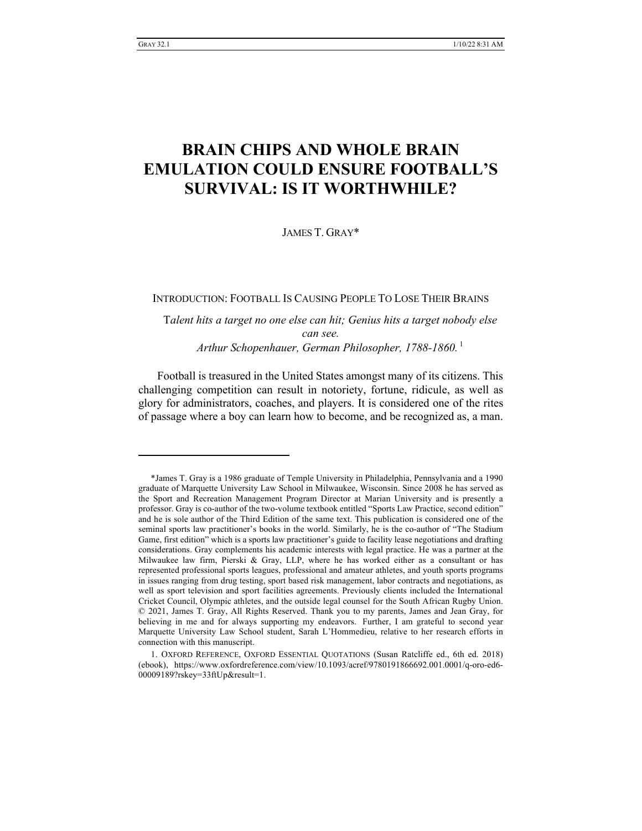# **BRAIN CHIPS AND WHOLE BRAIN EMULATION COULD ENSURE FOOTBALL'S SURVIVAL: IS IT WORTHWHILE?**

JAMES T. GRAY\*

INTRODUCTION: FOOTBALL IS CAUSING PEOPLE TO LOSE THEIR BRAINS

T*alent hits a target no one else can hit; Genius hits a target nobody else can see. Arthur Schopenhauer, German Philosopher, 1788-1860.* <sup>1</sup>

Football is treasured in the United States amongst many of its citizens. This challenging competition can result in notoriety, fortune, ridicule, as well as glory for administrators, coaches, and players. It is considered one of the rites of passage where a boy can learn how to become, and be recognized as, a man.

<sup>\*</sup>James T. Gray is a 1986 graduate of Temple University in Philadelphia, Pennsylvania and a 1990 graduate of Marquette University Law School in Milwaukee, Wisconsin. Since 2008 he has served as the Sport and Recreation Management Program Director at Marian University and is presently a professor. Gray is co-author of the two-volume textbook entitled "Sports Law Practice, second edition" and he is sole author of the Third Edition of the same text. This publication is considered one of the seminal sports law practitioner's books in the world. Similarly, he is the co-author of "The Stadium Game, first edition" which is a sports law practitioner's guide to facility lease negotiations and drafting considerations. Gray complements his academic interests with legal practice. He was a partner at the Milwaukee law firm, Pierski & Gray, LLP, where he has worked either as a consultant or has represented professional sports leagues, professional and amateur athletes, and youth sports programs in issues ranging from drug testing, sport based risk management, labor contracts and negotiations, as well as sport television and sport facilities agreements. Previously clients included the International Cricket Council, Olympic athletes, and the outside legal counsel for the South African Rugby Union. © 2021, James T. Gray, All Rights Reserved. Thank you to my parents, James and Jean Gray, for believing in me and for always supporting my endeavors. Further, I am grateful to second year Marquette University Law School student, Sarah L'Hommedieu, relative to her research efforts in connection with this manuscript.

<sup>1.</sup> OXFORD REFERENCE, OXFORD ESSENTIAL QUOTATIONS (Susan Ratcliffe ed., 6th ed. 2018) (ebook), https://www.oxfordreference.com/view/10.1093/acref/9780191866692.001.0001/q-oro-ed6- 00009189?rskey=33ftUp&result=1.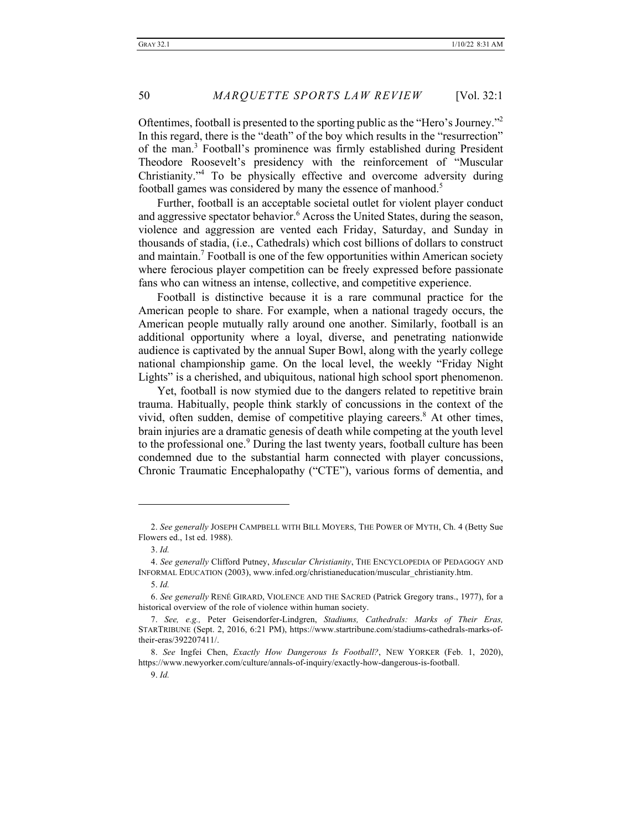Oftentimes, football is presented to the sporting public as the "Hero's Journey."2 In this regard, there is the "death" of the boy which results in the "resurrection" of the man.3 Football's prominence was firmly established during President Theodore Roosevelt's presidency with the reinforcement of "Muscular Christianity."4 To be physically effective and overcome adversity during football games was considered by many the essence of manhood.<sup>5</sup>

Further, football is an acceptable societal outlet for violent player conduct and aggressive spectator behavior.<sup>6</sup> Across the United States, during the season, violence and aggression are vented each Friday, Saturday, and Sunday in thousands of stadia, (i.e., Cathedrals) which cost billions of dollars to construct and maintain.<sup>7</sup> Football is one of the few opportunities within American society where ferocious player competition can be freely expressed before passionate fans who can witness an intense, collective, and competitive experience.

Football is distinctive because it is a rare communal practice for the American people to share. For example, when a national tragedy occurs, the American people mutually rally around one another. Similarly, football is an additional opportunity where a loyal, diverse, and penetrating nationwide audience is captivated by the annual Super Bowl, along with the yearly college national championship game. On the local level, the weekly "Friday Night Lights" is a cherished, and ubiquitous, national high school sport phenomenon.

Yet, football is now stymied due to the dangers related to repetitive brain trauma. Habitually, people think starkly of concussions in the context of the vivid, often sudden, demise of competitive playing careers.<sup>8</sup> At other times, brain injuries are a dramatic genesis of death while competing at the youth level to the professional one.<sup>9</sup> During the last twenty years, football culture has been condemned due to the substantial harm connected with player concussions, Chronic Traumatic Encephalopathy ("CTE"), various forms of dementia, and

<sup>2.</sup> *See generally* JOSEPH CAMPBELL WITH BILL MOYERS, THE POWER OF MYTH, Ch. 4 (Betty Sue Flowers ed., 1st ed. 1988).

<sup>3.</sup> *Id.*

<sup>4.</sup> *See generally* Clifford Putney, *Muscular Christianity*, THE ENCYCLOPEDIA OF PEDAGOGY AND INFORMAL EDUCATION (2003), www.infed.org/christianeducation/muscular\_christianity.htm.

<sup>5.</sup> *Id.* 

<sup>6.</sup> *See generally* RENÉ GIRARD, VIOLENCE AND THE SACRED (Patrick Gregory trans., 1977), for a historical overview of the role of violence within human society.

<sup>7.</sup> *See, e.g.,* Peter Geisendorfer-Lindgren, *Stadiums, Cathedrals: Marks of Their Eras,*  STARTRIBUNE (Sept. 2, 2016, 6:21 PM), https://www.startribune.com/stadiums-cathedrals-marks-oftheir-eras/392207411/.

<sup>8.</sup> *See* Ingfei Chen, *Exactly How Dangerous Is Football?*, NEW YORKER (Feb. 1, 2020), https://www.newyorker.com/culture/annals-of-inquiry/exactly-how-dangerous-is-football.

<sup>9.</sup> *Id.*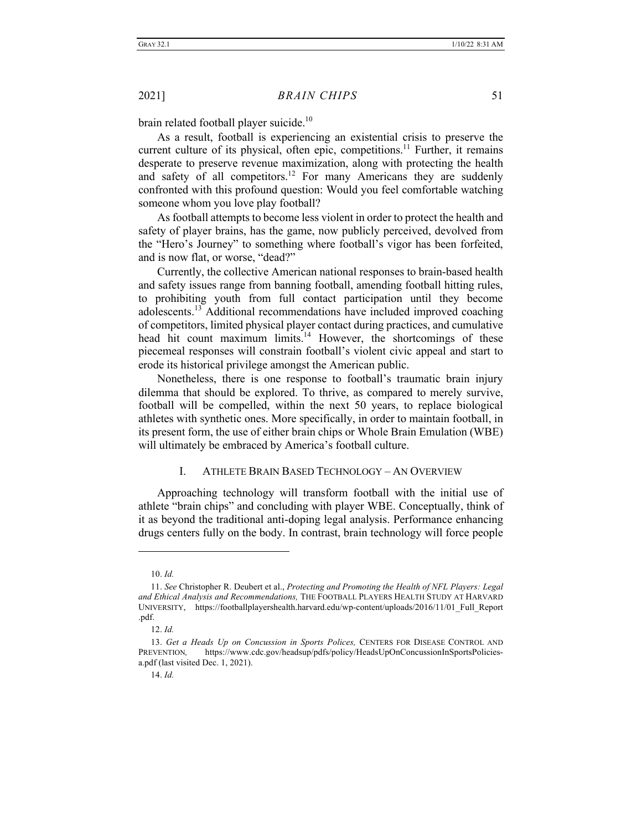brain related football player suicide.<sup>10</sup>

As a result, football is experiencing an existential crisis to preserve the current culture of its physical, often epic, competitions.<sup>11</sup> Further, it remains desperate to preserve revenue maximization, along with protecting the health and safety of all competitors.<sup>12</sup> For many Americans they are suddenly confronted with this profound question: Would you feel comfortable watching someone whom you love play football?

As football attempts to become less violent in order to protect the health and safety of player brains, has the game, now publicly perceived, devolved from the "Hero's Journey" to something where football's vigor has been forfeited, and is now flat, or worse, "dead?"

Currently, the collective American national responses to brain-based health and safety issues range from banning football, amending football hitting rules, to prohibiting youth from full contact participation until they become adolescents.<sup>13</sup> Additional recommendations have included improved coaching of competitors, limited physical player contact during practices, and cumulative head hit count maximum limits.<sup>14</sup> However, the shortcomings of these piecemeal responses will constrain football's violent civic appeal and start to erode its historical privilege amongst the American public.

Nonetheless, there is one response to football's traumatic brain injury dilemma that should be explored. To thrive, as compared to merely survive, football will be compelled, within the next 50 years, to replace biological athletes with synthetic ones. More specifically, in order to maintain football, in its present form, the use of either brain chips or Whole Brain Emulation (WBE) will ultimately be embraced by America's football culture.

#### I. ATHLETE BRAIN BASED TECHNOLOGY – AN OVERVIEW

Approaching technology will transform football with the initial use of athlete "brain chips" and concluding with player WBE. Conceptually, think of it as beyond the traditional anti-doping legal analysis. Performance enhancing drugs centers fully on the body. In contrast, brain technology will force people

12. *Id.*

<sup>10.</sup> *Id.* 

<sup>11.</sup> *See* Christopher R. Deubert et al., *Protecting and Promoting the Health of NFL Players: Legal and Ethical Analysis and Recommendations,* THE FOOTBALL PLAYERS HEALTH STUDY AT HARVARD UNIVERSITY, https://footballplayershealth.harvard.edu/wp-content/uploads/2016/11/01\_Full\_Report .pdf.

<sup>13.</sup> *Get a Heads Up on Concussion in Sports Polices,* CENTERS FOR DISEASE CONTROL AND PREVENTION*,* https://www.cdc.gov/headsup/pdfs/policy/HeadsUpOnConcussionInSportsPoliciesa.pdf (last visited Dec. 1, 2021).

<sup>14.</sup> *Id.*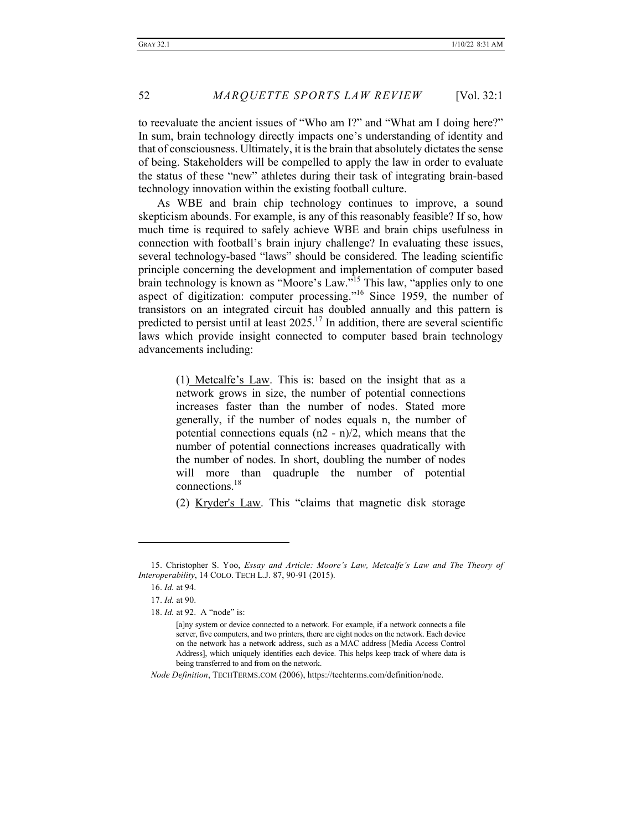to reevaluate the ancient issues of "Who am I?" and "What am I doing here?" In sum, brain technology directly impacts one's understanding of identity and that of consciousness. Ultimately, it is the brain that absolutely dictates the sense of being. Stakeholders will be compelled to apply the law in order to evaluate the status of these "new" athletes during their task of integrating brain-based technology innovation within the existing football culture.

As WBE and brain chip technology continues to improve, a sound skepticism abounds. For example, is any of this reasonably feasible? If so, how much time is required to safely achieve WBE and brain chips usefulness in connection with football's brain injury challenge? In evaluating these issues, several technology-based "laws" should be considered. The leading scientific principle concerning the development and implementation of computer based brain technology is known as "Moore's Law."<sup>15</sup> This law, "applies only to one aspect of digitization: computer processing."<sup>16</sup> Since 1959, the number of transistors on an integrated circuit has doubled annually and this pattern is predicted to persist until at least  $2025$ .<sup>17</sup> In addition, there are several scientific laws which provide insight connected to computer based brain technology advancements including:

> (1) Metcalfe's Law. This is: based on the insight that as a network grows in size, the number of potential connections increases faster than the number of nodes. Stated more generally, if the number of nodes equals n, the number of potential connections equals (n2 - n)/2, which means that the number of potential connections increases quadratically with the number of nodes. In short, doubling the number of nodes will more than quadruple the number of potential connections.18

> (2) Kryder's Law. This "claims that magnetic disk storage

18. *Id.* at 92. A "node" is:

*Node Definition*, TECHTERMS.COM (2006), https://techterms.com/definition/node.

<sup>15.</sup> Christopher S. Yoo, *Essay and Article: Moore's Law, Metcalfe's Law and The Theory of Interoperability*, 14 COLO. TECH L.J. 87, 90-91 (2015).

<sup>16.</sup> *Id.* at 94.

<sup>17.</sup> *Id.* at 90.

<sup>[</sup>a]ny system or device connected to a network. For example, if a network connects a file server, five computers, and two printers, there are eight nodes on the network. Each device on the network has a network address, such as a MAC address [Media Access Control Address], which uniquely identifies each device. This helps keep track of where data is being transferred to and from on the network.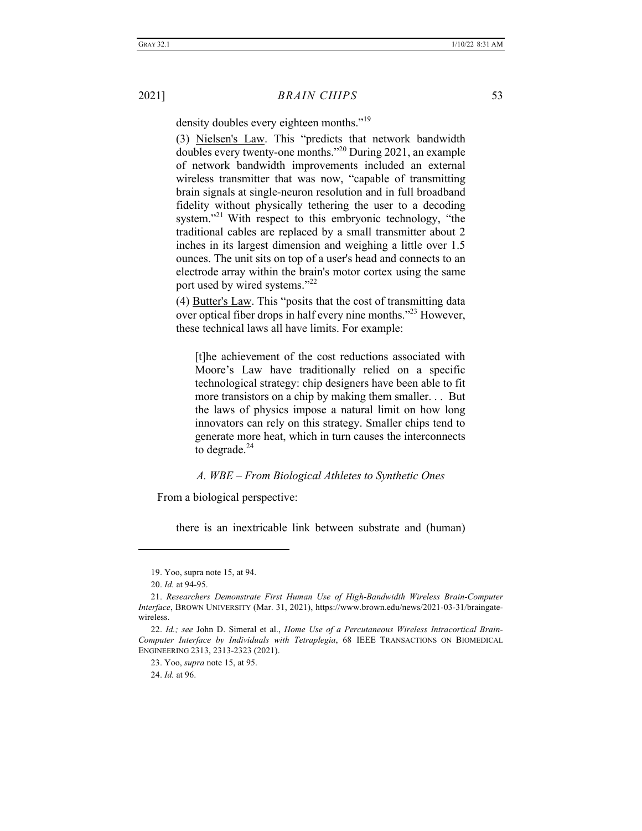density doubles every eighteen months."<sup>19</sup>

(3) Nielsen's Law. This "predicts that network bandwidth doubles every twenty-one months."<sup>20</sup> During 2021, an example of network bandwidth improvements included an external wireless transmitter that was now, "capable of transmitting brain signals at single-neuron resolution and in full broadband fidelity without physically tethering the user to a decoding system."<sup>21</sup> With respect to this embryonic technology, "the traditional cables are replaced by a small transmitter about 2 inches in its largest dimension and weighing a little over 1.5 ounces. The unit sits on top of a user's head and connects to an electrode array within the brain's motor cortex using the same port used by wired systems."<sup>22</sup>

(4) Butter's Law. This "posits that the cost of transmitting data over optical fiber drops in half every nine months.<sup>323</sup> However, these technical laws all have limits. For example:

[t]he achievement of the cost reductions associated with Moore's Law have traditionally relied on a specific technological strategy: chip designers have been able to fit more transistors on a chip by making them smaller. . . But the laws of physics impose a natural limit on how long innovators can rely on this strategy. Smaller chips tend to generate more heat, which in turn causes the interconnects to degrade. $24$ 

#### *A. WBE – From Biological Athletes to Synthetic Ones*

From a biological perspective:

there is an inextricable link between substrate and (human)

24. *Id.* at 96.

<sup>19.</sup> Yoo, supra note 15, at 94.

<sup>20.</sup> *Id.* at 94-95.

<sup>21.</sup> *Researchers Demonstrate First Human Use of High-Bandwidth Wireless Brain-Computer Interface*, BROWN UNIVERSITY (Mar. 31, 2021), https://www.brown.edu/news/2021-03-31/braingatewireless.

<sup>22.</sup> *Id.; see* John D. Simeral et al., *Home Use of a Percutaneous Wireless Intracortical Brain-Computer Interface by Individuals with Tetraplegia*, 68 IEEE TRANSACTIONS ON BIOMEDICAL ENGINEERING 2313, 2313-2323 (2021).

<sup>23.</sup> Yoo, *supra* note 15, at 95.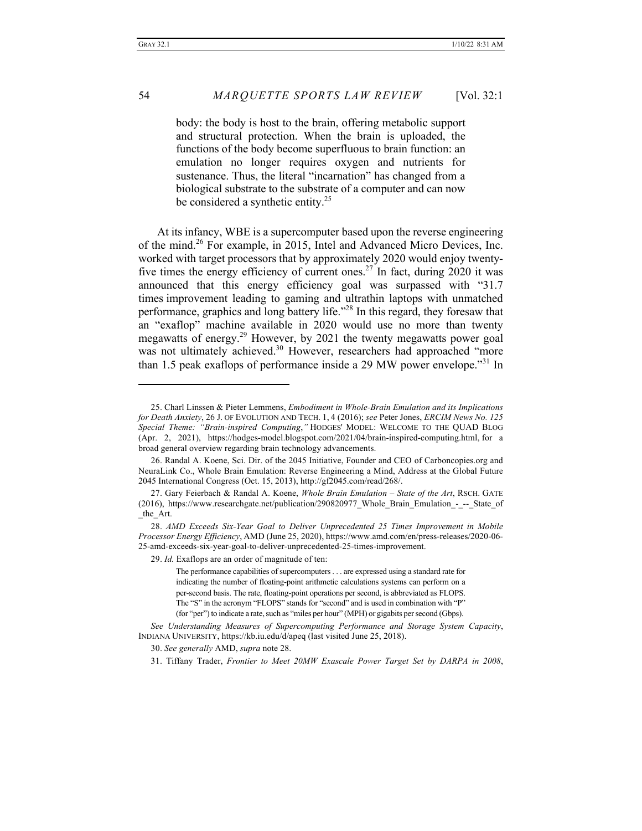body: the body is host to the brain, offering metabolic support and structural protection. When the brain is uploaded, the functions of the body become superfluous to brain function: an emulation no longer requires oxygen and nutrients for sustenance. Thus, the literal "incarnation" has changed from a biological substrate to the substrate of a computer and can now be considered a synthetic entity. $25$ 

At its infancy, WBE is a supercomputer based upon the reverse engineering of the mind.<sup>26</sup> For example, in 2015, Intel and Advanced Micro Devices, Inc. worked with target processors that by approximately 2020 would enjoy twentyfive times the energy efficiency of current ones.<sup>27</sup> In fact, during 2020 it was announced that this energy efficiency goal was surpassed with "31.7 times improvement leading to gaming and ultrathin laptops with unmatched performance, graphics and long battery life."28 In this regard, they foresaw that an "exaflop" machine available in 2020 would use no more than twenty megawatts of energy.<sup>29</sup> However, by 2021 the twenty megawatts power goal was not ultimately achieved.<sup>30</sup> However, researchers had approached "more than 1.5 peak exaflops of performance inside a 29 MW power envelope."<sup>31</sup> In

<sup>25.</sup> Charl Linssen & Pieter Lemmens, *Embodiment in Whole-Brain Emulation and its Implications for Death Anxiety*, 26 J. OF EVOLUTION AND TECH. 1, 4 (2016); *see* Peter Jones, *ERCIM News No. 125 Special Theme: "Brain-inspired Computing*,*"* HODGES' MODEL: WELCOME TO THE QUAD BLOG (Apr. 2, 2021), https://hodges-model.blogspot.com/2021/04/brain-inspired-computing.html, for a broad general overview regarding brain technology advancements.

<sup>26.</sup> Randal A. Koene, Sci. Dir. of the 2045 Initiative, Founder and CEO of Carboncopies.org and NeuraLink Co., Whole Brain Emulation: Reverse Engineering a Mind, Address at the Global Future 2045 International Congress (Oct. 15, 2013), http://gf2045.com/read/268/.

<sup>27.</sup> Gary Feierbach & Randal A. Koene, *Whole Brain Emulation – State of the Art*, RSCH. GATE (2016), https://www.researchgate.net/publication/290820977\_Whole\_Brain\_Emulation\_-\_--\_State\_of the Art.

<sup>28.</sup> *AMD Exceeds Six-Year Goal to Deliver Unprecedented 25 Times Improvement in Mobile Processor Energy Efficiency*, AMD (June 25, 2020), https://www.amd.com/en/press-releases/2020-06- 25-amd-exceeds-six-year-goal-to-deliver-unprecedented-25-times-improvement.

<sup>29.</sup> *Id.* Exaflops are an order of magnitude of ten:

The performance capabilities of supercomputers . . . are expressed using a standard rate for indicating the number of floating-point arithmetic calculations systems can perform on a per-second basis. The rate, floating-point operations per second, is abbreviated as FLOPS. The "S" in the acronym "FLOPS" stands for "second" and is used in combination with "P" (for "per") to indicate a rate, such as "miles per hour" (MPH) or gigabits per second (Gbps).

*See Understanding Measures of Supercomputing Performance and Storage System Capacity*, INDIANA UNIVERSITY, https://kb.iu.edu/d/apeq (last visited June 25, 2018).

<sup>30.</sup> *See generally* AMD, *supra* note 28.

<sup>31.</sup> Tiffany Trader, *Frontier to Meet 20MW Exascale Power Target Set by DARPA in 2008*,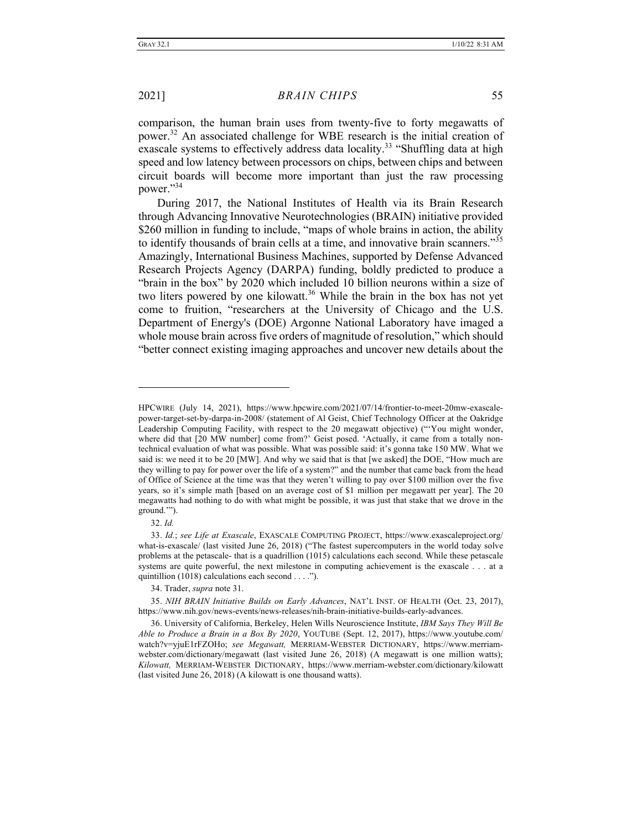comparison, the human brain uses from twenty-five to forty megawatts of power.32 An associated challenge for WBE research is the initial creation of exascale systems to effectively address data locality.<sup>33</sup> "Shuffling data at high speed and low latency between processors on chips, between chips and between circuit boards will become more important than just the raw processing power."34

During 2017, the National Institutes of Health via its Brain Research through Advancing Innovative Neurotechnologies (BRAIN) initiative provided \$260 million in funding to include, "maps of whole brains in action, the ability to identify thousands of brain cells at a time, and innovative brain scanners."<sup>35</sup> Amazingly, International Business Machines, supported by Defense Advanced Research Projects Agency (DARPA) funding, boldly predicted to produce a "brain in the box" by 2020 which included 10 billion neurons within a size of two liters powered by one kilowatt.<sup>36</sup> While the brain in the box has not yet come to fruition, "researchers at the University of Chicago and the U.S. Department of Energy's (DOE) Argonne National Laboratory have imaged a whole mouse brain across five orders of magnitude of resolution," which should "better connect existing imaging approaches and uncover new details about the

32. *Id.* 

34. Trader, *supra* note 31.

HPCWIRE (July 14, 2021), https://www.hpcwire.com/2021/07/14/frontier-to-meet-20mw-exascalepower-target-set-by-darpa-in-2008/ (statement of Al Geist, Chief Technology Officer at the Oakridge Leadership Computing Facility, with respect to the 20 megawatt objective) ("'You might wonder, where did that [20 MW number] come from?' Geist posed. 'Actually, it came from a totally nontechnical evaluation of what was possible. What was possible said: it's gonna take 150 MW. What we said is: we need it to be 20 [MW]. And why we said that is that [we asked] the DOE, "How much are they willing to pay for power over the life of a system?" and the number that came back from the head of Office of Science at the time was that they weren't willing to pay over \$100 million over the five years, so it's simple math [based on an average cost of \$1 million per megawatt per year]. The 20 megawatts had nothing to do with what might be possible, it was just that stake that we drove in the ground.'").

<sup>33.</sup> *Id.*; *see Life at Exascale*, EXASCALE COMPUTING PROJECT, https://www.exascaleproject.org/ what-is-exascale/ (last visited June 26, 2018) ("The fastest supercomputers in the world today solve problems at the petascale- that is a quadrillion (1015) calculations each second. While these petascale systems are quite powerful, the next milestone in computing achievement is the exascale . . . at a quintillion (1018) calculations each second . . . .").

<sup>35.</sup> *NIH BRAIN Initiative Builds on Early Advances*, NAT'L INST. OF HEALTH (Oct. 23, 2017), https://www.nih.gov/news-events/news-releases/nih-brain-initiative-builds-early-advances.

<sup>36.</sup> University of California, Berkeley, Helen Wills Neuroscience Institute, *IBM Says They Will Be Able to Produce a Brain in a Box By 2020*, YOUTUBE (Sept. 12, 2017), https://www.youtube.com/ watch?v=yjuE1rFZOHo; *see Megawatt,* MERRIAM-WEBSTER DICTIONARY, https://www.merriamwebster.com/dictionary/megawatt (last visited June 26, 2018) (A megawatt is one million watts); *Kilowatt,* MERRIAM-WEBSTER DICTIONARY, https://www.merriam-webster.com/dictionary/kilowatt (last visited June 26, 2018) (A kilowatt is one thousand watts).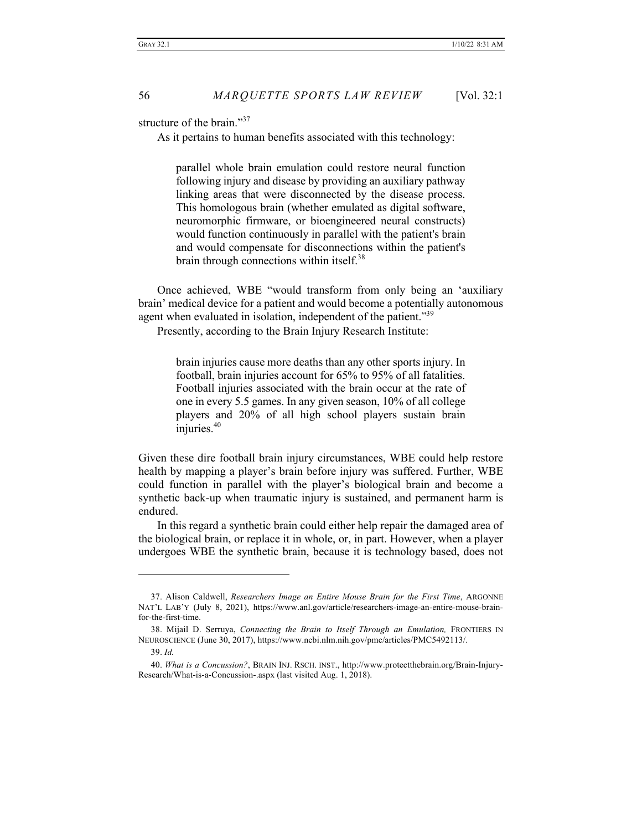structure of the brain."<sup>37</sup>

As it pertains to human benefits associated with this technology:

parallel whole brain emulation could restore neural function following injury and disease by providing an auxiliary pathway linking areas that were disconnected by the disease process. This homologous brain (whether emulated as digital software, neuromorphic firmware, or bioengineered neural constructs) would function continuously in parallel with the patient's brain and would compensate for disconnections within the patient's brain through connections within itself.<sup>38</sup>

Once achieved, WBE "would transform from only being an 'auxiliary brain' medical device for a patient and would become a potentially autonomous agent when evaluated in isolation, independent of the patient."39

Presently, according to the Brain Injury Research Institute:

brain injuries cause more deaths than any other sports injury. In football, brain injuries account for 65% to 95% of all fatalities. Football injuries associated with the brain occur at the rate of one in every 5.5 games. In any given season, 10% of all college players and 20% of all high school players sustain brain injuries.<sup>40</sup>

Given these dire football brain injury circumstances, WBE could help restore health by mapping a player's brain before injury was suffered. Further, WBE could function in parallel with the player's biological brain and become a synthetic back-up when traumatic injury is sustained, and permanent harm is endured.

In this regard a synthetic brain could either help repair the damaged area of the biological brain, or replace it in whole, or, in part. However, when a player undergoes WBE the synthetic brain, because it is technology based, does not

<sup>37.</sup> Alison Caldwell, *Researchers Image an Entire Mouse Brain for the First Time*, ARGONNE NAT'L LAB'Y (July 8, 2021), https://www.anl.gov/article/researchers-image-an-entire-mouse-brainfor-the-first-time.

<sup>38.</sup> Mijail D. Serruya, *Connecting the Brain to Itself Through an Emulation,* FRONTIERS IN NEUROSCIENCE (June 30, 2017), https://www.ncbi.nlm.nih.gov/pmc/articles/PMC5492113/.

<sup>39.</sup> *Id.* 

<sup>40.</sup> *What is a Concussion?*, BRAIN INJ. RSCH. INST., http://www.protectthebrain.org/Brain-Injury-Research/What-is-a-Concussion-.aspx (last visited Aug. 1, 2018).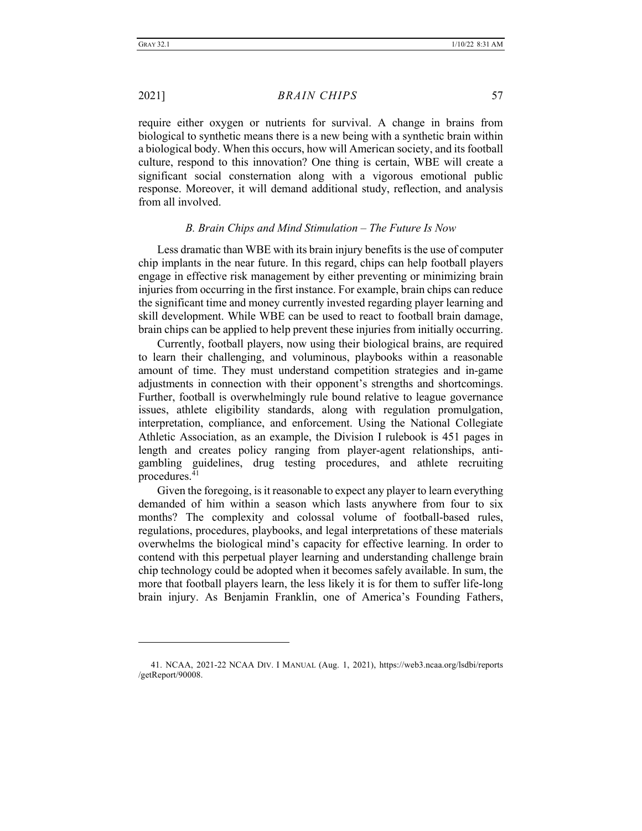require either oxygen or nutrients for survival. A change in brains from biological to synthetic means there is a new being with a synthetic brain within a biological body. When this occurs, how will American society, and its football culture, respond to this innovation? One thing is certain, WBE will create a significant social consternation along with a vigorous emotional public response. Moreover, it will demand additional study, reflection, and analysis from all involved.

#### *B. Brain Chips and Mind Stimulation – The Future Is Now*

Less dramatic than WBE with its brain injury benefits is the use of computer chip implants in the near future. In this regard, chips can help football players engage in effective risk management by either preventing or minimizing brain injuries from occurring in the first instance. For example, brain chips can reduce the significant time and money currently invested regarding player learning and skill development. While WBE can be used to react to football brain damage, brain chips can be applied to help prevent these injuries from initially occurring.

Currently, football players, now using their biological brains, are required to learn their challenging, and voluminous, playbooks within a reasonable amount of time. They must understand competition strategies and in-game adjustments in connection with their opponent's strengths and shortcomings. Further, football is overwhelmingly rule bound relative to league governance issues, athlete eligibility standards, along with regulation promulgation, interpretation, compliance, and enforcement. Using the National Collegiate Athletic Association, as an example, the Division I rulebook is 451 pages in length and creates policy ranging from player-agent relationships, antigambling guidelines, drug testing procedures, and athlete recruiting procedures. $41$ 

Given the foregoing, is it reasonable to expect any player to learn everything demanded of him within a season which lasts anywhere from four to six months? The complexity and colossal volume of football-based rules, regulations, procedures, playbooks, and legal interpretations of these materials overwhelms the biological mind's capacity for effective learning. In order to contend with this perpetual player learning and understanding challenge brain chip technology could be adopted when it becomes safely available. In sum, the more that football players learn, the less likely it is for them to suffer life-long brain injury. As Benjamin Franklin, one of America's Founding Fathers,

<sup>41.</sup> NCAA, 2021-22 NCAA DIV. I MANUAL (Aug. 1, 2021), https://web3.ncaa.org/lsdbi/reports /getReport/90008.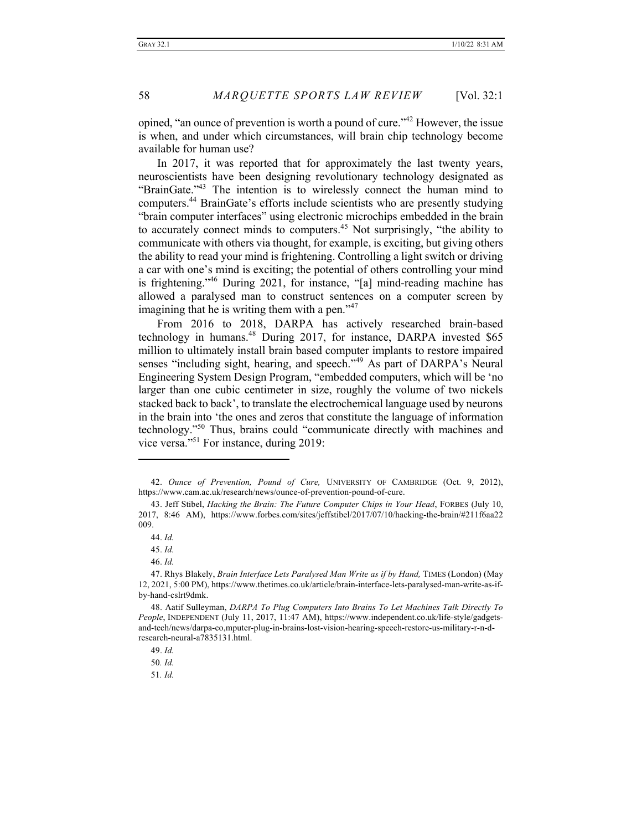opined, "an ounce of prevention is worth a pound of cure."42 However, the issue is when, and under which circumstances, will brain chip technology become available for human use?

In 2017, it was reported that for approximately the last twenty years, neuroscientists have been designing revolutionary technology designated as "BrainGate."43 The intention is to wirelessly connect the human mind to computers.44 BrainGate's efforts include scientists who are presently studying "brain computer interfaces" using electronic microchips embedded in the brain to accurately connect minds to computers.<sup>45</sup> Not surprisingly, "the ability to communicate with others via thought, for example, is exciting, but giving others the ability to read your mind is frightening. Controlling a light switch or driving a car with one's mind is exciting; the potential of others controlling your mind is frightening."46 During 2021, for instance, "[a] mind-reading machine has allowed a paralysed man to construct sentences on a computer screen by imagining that he is writing them with a pen." $47$ 

From 2016 to 2018, DARPA has actively researched brain-based technology in humans.<sup>48</sup> During 2017, for instance, DARPA invested \$65 million to ultimately install brain based computer implants to restore impaired senses "including sight, hearing, and speech."<sup>49</sup> As part of DARPA's Neural Engineering System Design Program, "embedded computers, which will be 'no larger than one cubic centimeter in size, roughly the volume of two nickels stacked back to back', to translate the electrochemical language used by neurons in the brain into 'the ones and zeros that constitute the language of information technology."50 Thus, brains could "communicate directly with machines and vice versa."<sup>51</sup> For instance, during 2019:

46. *Id.* 

51*. Id.* 

<sup>42.</sup> *Ounce of Prevention, Pound of Cure,* UNIVERSITY OF CAMBRIDGE (Oct. 9, 2012), https://www.cam.ac.uk/research/news/ounce-of-prevention-pound-of-cure.

<sup>43.</sup> Jeff Stibel, *Hacking the Brain: The Future Computer Chips in Your Head*, FORBES (July 10, 2017, 8:46 AM), https://www.forbes.com/sites/jeffstibel/2017/07/10/hacking-the-brain/#211f6aa22 009.

<sup>44.</sup> *Id.*

<sup>45.</sup> *Id.* 

<sup>47.</sup> Rhys Blakely, *Brain Interface Lets Paralysed Man Write as if by Hand,* TIMES (London) (May 12, 2021, 5:00 PM), https://www.thetimes.co.uk/article/brain-interface-lets-paralysed-man-write-as-ifby-hand-cslrt9dmk.

<sup>48.</sup> Aatif Sulleyman, *DARPA To Plug Computers Into Brains To Let Machines Talk Directly To People*, INDEPENDENT (July 11, 2017, 11:47 AM), https://www.independent.co.uk/life-style/gadgetsand-tech/news/darpa-co,mputer-plug-in-brains-lost-vision-hearing-speech-restore-us-military-r-n-dresearch-neural-a7835131.html.

<sup>49.</sup> *Id.* 

<sup>50</sup>*. Id.*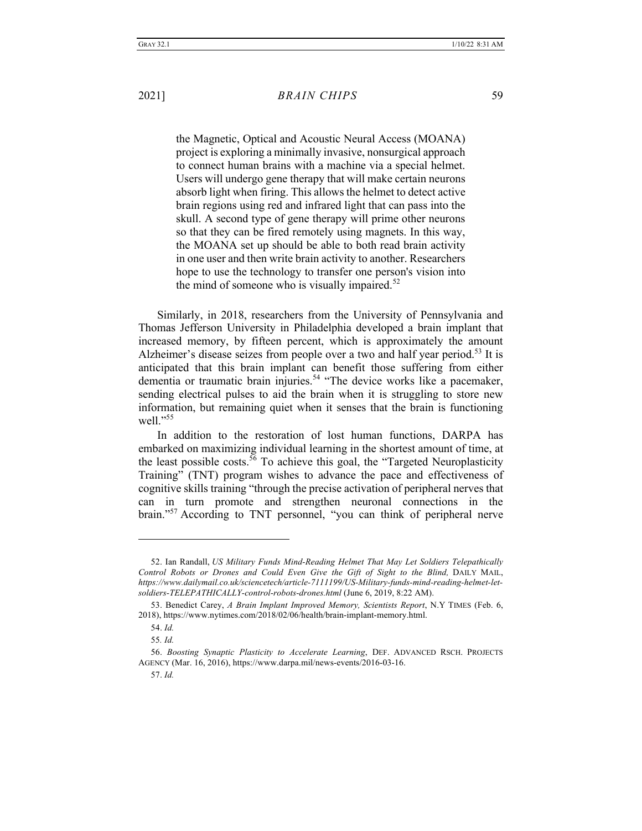the Magnetic, Optical and Acoustic Neural Access (MOANA) project is exploring a minimally invasive, nonsurgical approach to connect human brains with a machine via a special helmet. Users will undergo gene therapy that will make certain neurons absorb light when firing. This allows the helmet to detect active brain regions using red and infrared light that can pass into the skull. A second type of gene therapy will prime other neurons so that they can be fired remotely using magnets. In this way, the MOANA set up should be able to both read brain activity in one user and then write brain activity to another. Researchers hope to use the technology to transfer one person's vision into the mind of someone who is visually impaired. $52$ 

Similarly, in 2018, researchers from the University of Pennsylvania and Thomas Jefferson University in Philadelphia developed a brain implant that increased memory, by fifteen percent, which is approximately the amount Alzheimer's disease seizes from people over a two and half year period.<sup>53</sup> It is anticipated that this brain implant can benefit those suffering from either dementia or traumatic brain injuries.<sup>54</sup> "The device works like a pacemaker, sending electrical pulses to aid the brain when it is struggling to store new information, but remaining quiet when it senses that the brain is functioning well."<sup>55</sup>

In addition to the restoration of lost human functions, DARPA has embarked on maximizing individual learning in the shortest amount of time, at the least possible costs.<sup>56</sup> To achieve this goal, the "Targeted Neuroplasticity" Training" (TNT) program wishes to advance the pace and effectiveness of cognitive skills training "through the precise activation of peripheral nerves that can in turn promote and strengthen neuronal connections in the brain."57 According to TNT personnel, "you can think of peripheral nerve

<sup>52.</sup> Ian Randall, *US Military Funds Mind-Reading Helmet That May Let Soldiers Telepathically Control Robots or Drones and Could Even Give the Gift of Sight to the Blind,* DAILY MAIL, *https://www.dailymail.co.uk/sciencetech/article-7111199/US-Military-funds-mind-reading-helmet-letsoldiers-TELEPATHICALLY-control-robots-drones.html* (June 6, 2019, 8:22 AM).

<sup>53.</sup> Benedict Carey, *A Brain Implant Improved Memory, Scientists Report*, N.Y TIMES (Feb. 6, 2018), https://www.nytimes.com/2018/02/06/health/brain-implant-memory.html.

<sup>54.</sup> *Id.* 

<sup>55</sup>*. Id.*

<sup>56.</sup> *Boosting Synaptic Plasticity to Accelerate Learning*, DEF. ADVANCED RSCH. PROJECTS AGENCY (Mar. 16, 2016), https://www.darpa.mil/news-events/2016-03-16.

<sup>57.</sup> *Id.*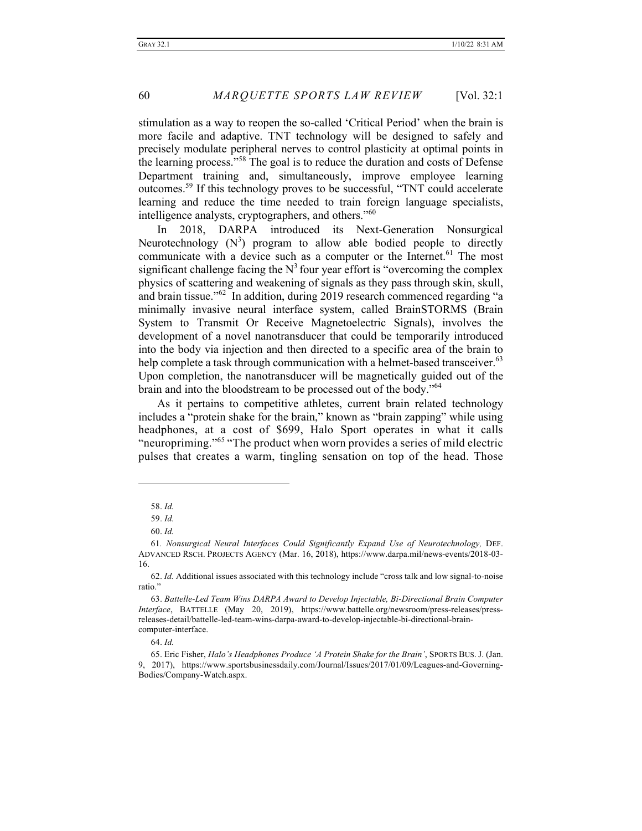stimulation as a way to reopen the so-called 'Critical Period' when the brain is more facile and adaptive. TNT technology will be designed to safely and precisely modulate peripheral nerves to control plasticity at optimal points in the learning process."<sup>58</sup> The goal is to reduce the duration and costs of Defense Department training and, simultaneously, improve employee learning outcomes.59 If this technology proves to be successful, "TNT could accelerate learning and reduce the time needed to train foreign language specialists, intelligence analysts, cryptographers, and others."<sup>60</sup>

In 2018, DARPA introduced its Next-Generation Nonsurgical Neurotechnology  $(N^3)$  program to allow able bodied people to directly communicate with a device such as a computer or the Internet.<sup>61</sup> The most significant challenge facing the  $N<sup>3</sup>$  four year effort is "overcoming the complex physics of scattering and weakening of signals as they pass through skin, skull, and brain tissue."62 In addition, during 2019 research commenced regarding "a minimally invasive neural interface system, called BrainSTORMS (Brain System to Transmit Or Receive Magnetoelectric Signals), involves the development of a novel nanotransducer that could be temporarily introduced into the body via injection and then directed to a specific area of the brain to help complete a task through communication with a helmet-based transceiver.<sup>63</sup> Upon completion, the nanotransducer will be magnetically guided out of the brain and into the bloodstream to be processed out of the body."<sup>64</sup>

As it pertains to competitive athletes, current brain related technology includes a "protein shake for the brain," known as "brain zapping" while using headphones, at a cost of \$699, Halo Sport operates in what it calls "neuropriming."<sup>65</sup> "The product when worn provides a series of mild electric pulses that creates a warm, tingling sensation on top of the head. Those

64. *Id.*

<sup>58.</sup> *Id.*

<sup>59.</sup> *Id.*

<sup>60.</sup> *Id.* 

<sup>61</sup>*. Nonsurgical Neural Interfaces Could Significantly Expand Use of Neurotechnology,* DEF. ADVANCED RSCH. PROJECTS AGENCY (Mar. 16, 2018), https://www.darpa.mil/news-events/2018-03- 16.

<sup>62.</sup> *Id.* Additional issues associated with this technology include "cross talk and low signal-to-noise ratio."

<sup>63.</sup> *Battelle-Led Team Wins DARPA Award to Develop Injectable, Bi-Directional Brain Computer Interface*, BATTELLE (May 20, 2019), https://www.battelle.org/newsroom/press-releases/pressreleases-detail/battelle-led-team-wins-darpa-award-to-develop-injectable-bi-directional-braincomputer-interface.

<sup>65.</sup> Eric Fisher, *Halo's Headphones Produce 'A Protein Shake for the Brain'*, SPORTS BUS. J. (Jan. 9, 2017), https://www.sportsbusinessdaily.com/Journal/Issues/2017/01/09/Leagues-and-Governing-Bodies/Company-Watch.aspx.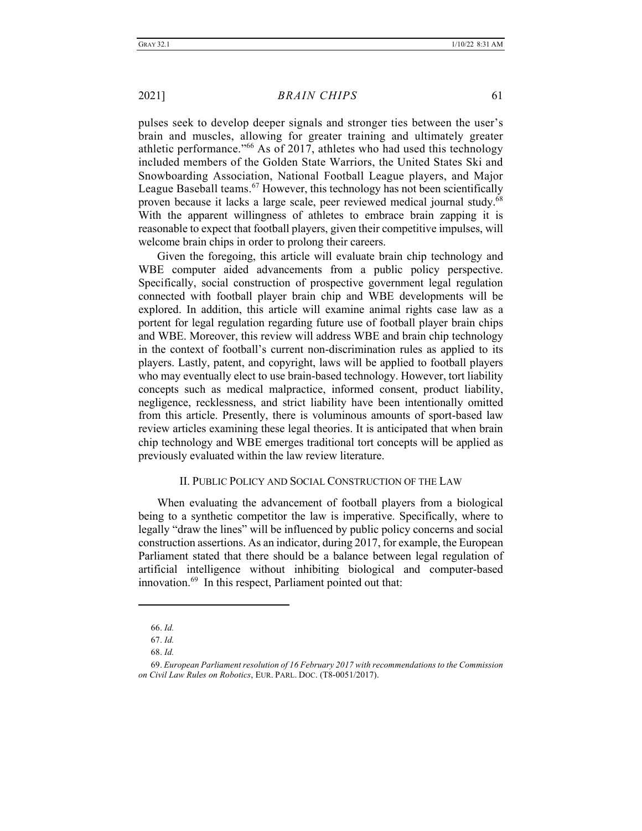pulses seek to develop deeper signals and stronger ties between the user's brain and muscles, allowing for greater training and ultimately greater athletic performance."<sup>66</sup> As of 2017, athletes who had used this technology included members of the Golden State Warriors, the United States Ski and Snowboarding Association, National Football League players, and Major League Baseball teams.<sup>67</sup> However, this technology has not been scientifically proven because it lacks a large scale, peer reviewed medical journal study.<sup>68</sup> With the apparent willingness of athletes to embrace brain zapping it is reasonable to expect that football players, given their competitive impulses, will welcome brain chips in order to prolong their careers.

Given the foregoing, this article will evaluate brain chip technology and WBE computer aided advancements from a public policy perspective. Specifically, social construction of prospective government legal regulation connected with football player brain chip and WBE developments will be explored. In addition, this article will examine animal rights case law as a portent for legal regulation regarding future use of football player brain chips and WBE. Moreover, this review will address WBE and brain chip technology in the context of football's current non-discrimination rules as applied to its players. Lastly, patent, and copyright, laws will be applied to football players who may eventually elect to use brain-based technology. However, tort liability concepts such as medical malpractice, informed consent, product liability, negligence, recklessness, and strict liability have been intentionally omitted from this article. Presently, there is voluminous amounts of sport-based law review articles examining these legal theories. It is anticipated that when brain chip technology and WBE emerges traditional tort concepts will be applied as previously evaluated within the law review literature.

#### II. PUBLIC POLICY AND SOCIAL CONSTRUCTION OF THE LAW

When evaluating the advancement of football players from a biological being to a synthetic competitor the law is imperative. Specifically, where to legally "draw the lines" will be influenced by public policy concerns and social construction assertions. As an indicator, during 2017, for example, the European Parliament stated that there should be a balance between legal regulation of artificial intelligence without inhibiting biological and computer-based innovation.69 In this respect, Parliament pointed out that:

<sup>66.</sup> *Id.*

<sup>67.</sup> *Id.* 

<sup>68.</sup> *Id.* 

<sup>69.</sup> *European Parliament resolution of 16 February 2017 with recommendations to the Commission on Civil Law Rules on Robotics*, EUR. PARL. DOC. (T8-0051/2017).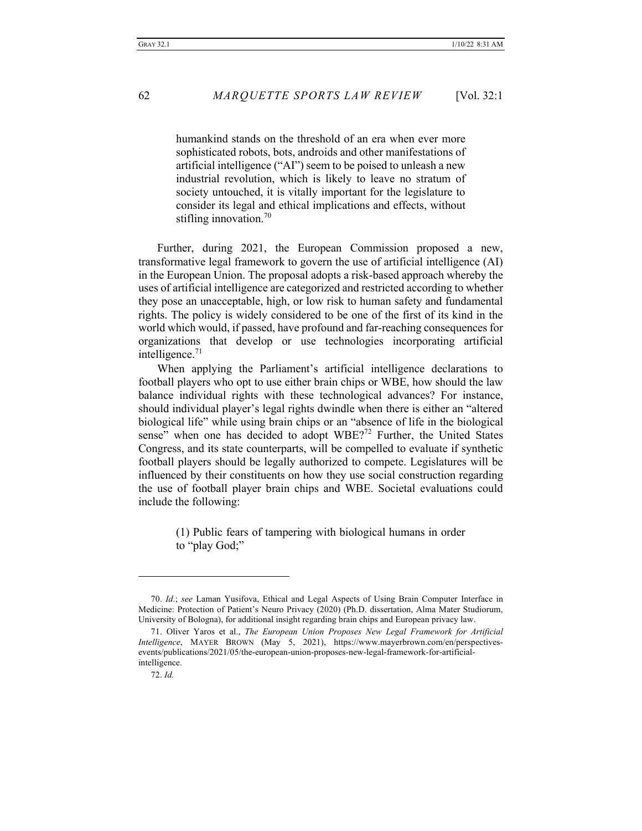humankind stands on the threshold of an era when ever more sophisticated robots, bots, androids and other manifestations of artificial intelligence ("AI") seem to be poised to unleash a new industrial revolution, which is likely to leave no stratum of society untouched, it is vitally important for the legislature to consider its legal and ethical implications and effects, without stifling innovation.<sup>70</sup>

Further, during 2021, the European Commission proposed a new, transformative legal framework to govern the use of artificial intelligence (AI) in the European Union. The proposal adopts a risk-based approach whereby the uses of artificial intelligence are categorized and restricted according to whether they pose an unacceptable, high, or low risk to human safety and fundamental rights. The policy is widely considered to be one of the first of its kind in the world which would, if passed, have profound and far-reaching consequences for organizations that develop or use technologies incorporating artificial intelligence. $71$ 

When applying the Parliament's artificial intelligence declarations to football players who opt to use either brain chips or WBE, how should the law balance individual rights with these technological advances? For instance, should individual player's legal rights dwindle when there is either an "altered biological life" while using brain chips or an "absence of life in the biological sense" when one has decided to adopt  $WBE?$ <sup>72</sup> Further, the United States Congress, and its state counterparts, will be compelled to evaluate if synthetic football players should be legally authorized to compete. Legislatures will be influenced by their constituents on how they use social construction regarding the use of football player brain chips and WBE. Societal evaluations could include the following:

> (1) Public fears of tampering with biological humans in order to "play God;"

<sup>70.</sup> *Id.*; *see* Laman Yusifova, Ethical and Legal Aspects of Using Brain Computer Interface in Medicine: Protection of Patient's Neuro Privacy (2020) (Ph.D. dissertation, Alma Mater Studiorum, University of Bologna), for additional insight regarding brain chips and European privacy law.

<sup>71.</sup> Oliver Yaros et al., *The European Union Proposes New Legal Framework for Artificial Intelligence*, MAYER BROWN (May 5, 2021), https://www.mayerbrown.com/en/perspectivesevents/publications/2021/05/the-european-union-proposes-new-legal-framework-for-artificialintelligence.

<sup>72.</sup> *Id.*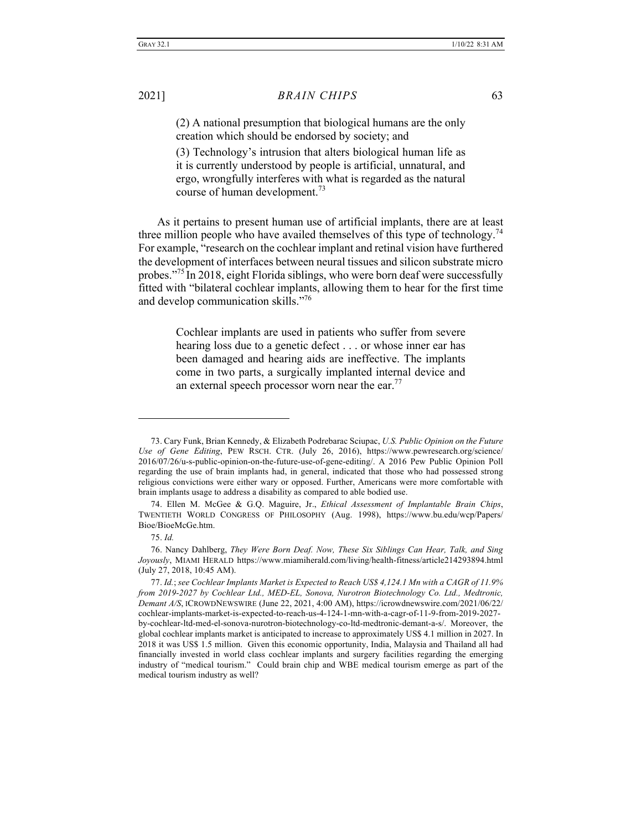(2) A national presumption that biological humans are the only creation which should be endorsed by society; and

(3) Technology's intrusion that alters biological human life as it is currently understood by people is artificial, unnatural, and ergo, wrongfully interferes with what is regarded as the natural course of human development.73

As it pertains to present human use of artificial implants, there are at least three million people who have availed themselves of this type of technology.<sup>74</sup> For example, "research on the cochlear implant and retinal vision have furthered the development of interfaces between neural tissues and silicon substrate micro probes."<sup>75</sup> In 2018, eight Florida siblings, who were born deaf were successfully fitted with "bilateral cochlear implants, allowing them to hear for the first time and develop communication skills."76

> Cochlear implants are used in patients who suffer from severe hearing loss due to a genetic defect . . . or whose inner ear has been damaged and hearing aids are ineffective. The implants come in two parts, a surgically implanted internal device and an external speech processor worn near the ear.<sup>77</sup>

<sup>73.</sup> Cary Funk, Brian Kennedy, & Elizabeth Podrebarac Sciupac, *U.S. Public Opinion on the Future Use of Gene Editing*, PEW RSCH. CTR. (July 26, 2016), https://www.pewresearch.org/science/ 2016/07/26/u-s-public-opinion-on-the-future-use-of-gene-editing/. A 2016 Pew Public Opinion Poll regarding the use of brain implants had, in general, indicated that those who had possessed strong religious convictions were either wary or opposed. Further, Americans were more comfortable with brain implants usage to address a disability as compared to able bodied use.

<sup>74.</sup> Ellen M. McGee & G.Q. Maguire, Jr., *Ethical Assessment of Implantable Brain Chips*, TWENTIETH WORLD CONGRESS OF PHILOSOPHY (Aug. 1998), https://www.bu.edu/wcp/Papers/ Bioe/BioeMcGe.htm.

<sup>75.</sup> *Id.* 

<sup>76.</sup> Nancy Dahlberg, *They Were Born Deaf. Now, These Six Siblings Can Hear, Talk, and Sing Joyously*, MIAMI HERALD https://www.miamiherald.com/living/health-fitness/article214293894.html (July 27, 2018, 10:45 AM).

<sup>77.</sup> *Id.*; *see Cochlear Implants Market is Expected to Reach US\$ 4,124.1 Mn with a CAGR of 11.9% from 2019-2027 by Cochlear Ltd., MED-EL, Sonova, Nurotron Biotechnology Co. Ltd., Medtronic, Demant A/S*, ICROWDNEWSWIRE (June 22, 2021, 4:00 AM), https://icrowdnewswire.com/2021/06/22/ cochlear-implants-market-is-expected-to-reach-us-4-124-1-mn-with-a-cagr-of-11-9-from-2019-2027 by-cochlear-ltd-med-el-sonova-nurotron-biotechnology-co-ltd-medtronic-demant-a-s/. Moreover, the global cochlear implants market is anticipated to increase to approximately US\$ 4.1 million in 2027. In 2018 it was US\$ 1.5 million. Given this economic opportunity, India, Malaysia and Thailand all had financially invested in world class cochlear implants and surgery facilities regarding the emerging industry of "medical tourism." Could brain chip and WBE medical tourism emerge as part of the medical tourism industry as well?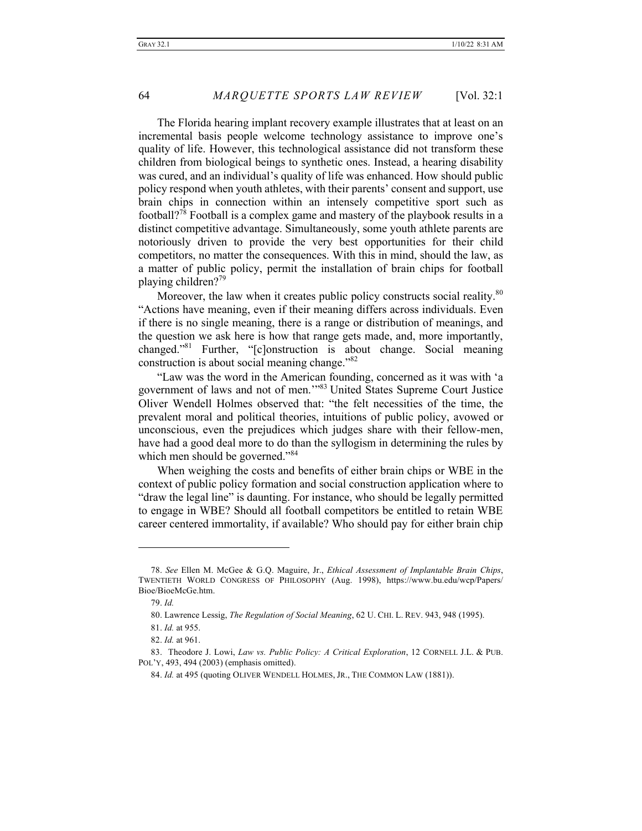The Florida hearing implant recovery example illustrates that at least on an incremental basis people welcome technology assistance to improve one's quality of life. However, this technological assistance did not transform these children from biological beings to synthetic ones. Instead, a hearing disability was cured, and an individual's quality of life was enhanced. How should public policy respond when youth athletes, with their parents' consent and support, use brain chips in connection within an intensely competitive sport such as football?<sup>78</sup> Football is a complex game and mastery of the playbook results in a distinct competitive advantage. Simultaneously, some youth athlete parents are notoriously driven to provide the very best opportunities for their child competitors, no matter the consequences. With this in mind, should the law, as a matter of public policy, permit the installation of brain chips for football playing children?79

Moreover, the law when it creates public policy constructs social reality.<sup>80</sup> "Actions have meaning, even if their meaning differs across individuals. Even if there is no single meaning, there is a range or distribution of meanings, and the question we ask here is how that range gets made, and, more importantly, changed."81 Further, "[c]onstruction is about change. Social meaning construction is about social meaning change."<sup>82</sup>

"Law was the word in the American founding, concerned as it was with 'a government of laws and not of men.'"83 United States Supreme Court Justice Oliver Wendell Holmes observed that: "the felt necessities of the time, the prevalent moral and political theories, intuitions of public policy, avowed or unconscious, even the prejudices which judges share with their fellow-men, have had a good deal more to do than the syllogism in determining the rules by which men should be governed."<sup>84</sup>

When weighing the costs and benefits of either brain chips or WBE in the context of public policy formation and social construction application where to "draw the legal line" is daunting. For instance, who should be legally permitted to engage in WBE? Should all football competitors be entitled to retain WBE career centered immortality, if available? Who should pay for either brain chip

<sup>78.</sup> *See* Ellen M. McGee & G.Q. Maguire, Jr., *Ethical Assessment of Implantable Brain Chips*, TWENTIETH WORLD CONGRESS OF PHILOSOPHY (Aug. 1998), https://www.bu.edu/wcp/Papers/ Bioe/BioeMcGe.htm.

<sup>79.</sup> *Id.*

<sup>80.</sup> Lawrence Lessig, *The Regulation of Social Meaning*, 62 U. CHI. L. REV. 943, 948 (1995).

<sup>81.</sup> *Id.* at 955.

<sup>82.</sup> *Id.* at 961.

<sup>83.</sup> Theodore J. Lowi, *Law vs. Public Policy: A Critical Exploration*, 12 CORNELL J.L. & PUB. POL'Y, 493, 494 (2003) (emphasis omitted).

<sup>84.</sup> *Id.* at 495 (quoting OLIVER WENDELL HOLMES, JR., THE COMMON LAW (1881)).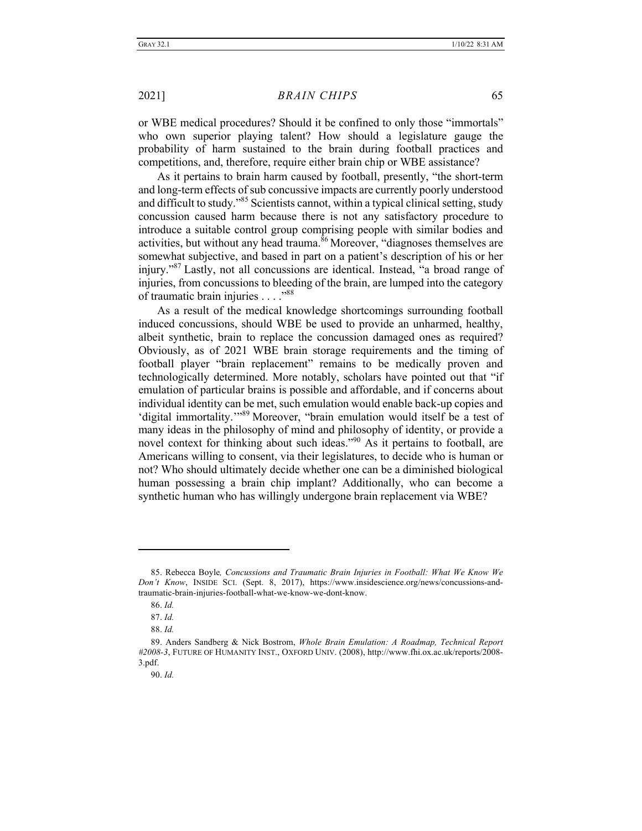or WBE medical procedures? Should it be confined to only those "immortals" who own superior playing talent? How should a legislature gauge the probability of harm sustained to the brain during football practices and competitions, and, therefore, require either brain chip or WBE assistance?

As it pertains to brain harm caused by football, presently, "the short-term and long-term effects of sub concussive impacts are currently poorly understood and difficult to study."<sup>85</sup> Scientists cannot, within a typical clinical setting, study concussion caused harm because there is not any satisfactory procedure to introduce a suitable control group comprising people with similar bodies and activities, but without any head trauma. $86$  Moreover, "diagnoses themselves are somewhat subjective, and based in part on a patient's description of his or her injury."87 Lastly, not all concussions are identical. Instead, "a broad range of injuries, from concussions to bleeding of the brain, are lumped into the category of traumatic brain injuries . . . . "88

As a result of the medical knowledge shortcomings surrounding football induced concussions, should WBE be used to provide an unharmed, healthy, albeit synthetic, brain to replace the concussion damaged ones as required? Obviously, as of 2021 WBE brain storage requirements and the timing of football player "brain replacement" remains to be medically proven and technologically determined. More notably, scholars have pointed out that "if emulation of particular brains is possible and affordable, and if concerns about individual identity can be met, such emulation would enable back‐up copies and 'digital immortality.'"<sup>89</sup> Moreover, "brain emulation would itself be a test of many ideas in the philosophy of mind and philosophy of identity, or provide a novel context for thinking about such ideas."<sup>90</sup> As it pertains to football, are Americans willing to consent, via their legislatures, to decide who is human or not? Who should ultimately decide whether one can be a diminished biological human possessing a brain chip implant? Additionally, who can become a synthetic human who has willingly undergone brain replacement via WBE?

<sup>85.</sup> Rebecca Boyle*, Concussions and Traumatic Brain Injuries in Football: What We Know We Don't Know*, INSIDE SCI. (Sept. 8, 2017), https://www.insidescience.org/news/concussions-andtraumatic-brain-injuries-football-what-we-know-we-dont-know.

<sup>86.</sup> *Id.*

<sup>87.</sup> *Id.* 

<sup>88.</sup> *Id.* 

<sup>89.</sup> Anders Sandberg & Nick Bostrom, *Whole Brain Emulation: A Roadmap, Technical Report #2008-3*, FUTURE OF HUMANITY INST., OXFORD UNIV. (2008), http://www.fhi.ox.ac.uk/reports/2008- 3.pdf.

<sup>90.</sup> *Id.*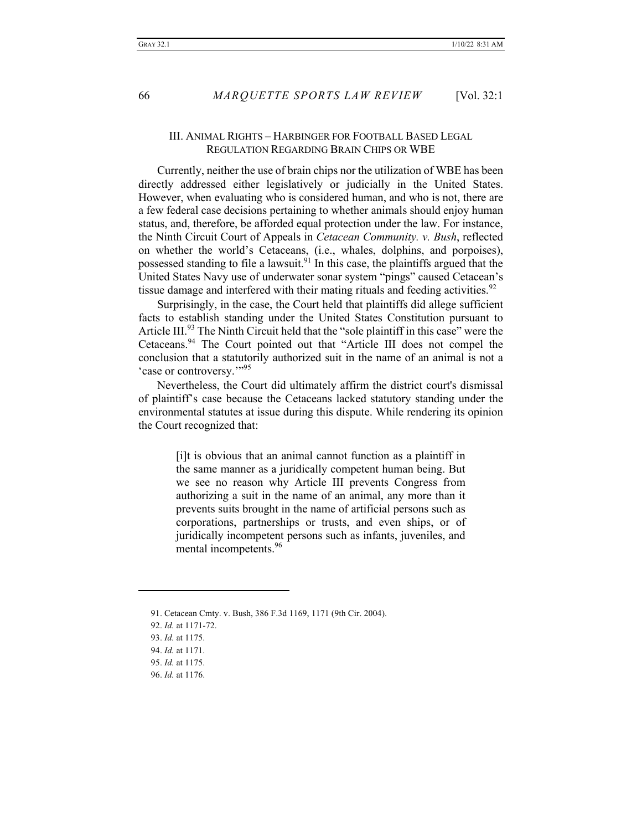#### III. ANIMAL RIGHTS – HARBINGER FOR FOOTBALL BASED LEGAL REGULATION REGARDING BRAIN CHIPS OR WBE

Currently, neither the use of brain chips nor the utilization of WBE has been directly addressed either legislatively or judicially in the United States. However, when evaluating who is considered human, and who is not, there are a few federal case decisions pertaining to whether animals should enjoy human status, and, therefore, be afforded equal protection under the law. For instance, the Ninth Circuit Court of Appeals in *Cetacean Community. v. Bush*, reflected on whether the world's Cetaceans, (i.e., whales, dolphins, and porpoises), possessed standing to file a lawsuit.<sup>91</sup> In this case, the plaintiffs argued that the United States Navy use of underwater sonar system "pings" caused Cetacean's tissue damage and interfered with their mating rituals and feeding activities.<sup>92</sup>

Surprisingly, in the case, the Court held that plaintiffs did allege sufficient facts to establish standing under the United States Constitution pursuant to Article III.<sup>93</sup> The Ninth Circuit held that the "sole plaintiff in this case" were the Cetaceans.94 The Court pointed out that "Article III does not compel the conclusion that a statutorily authorized suit in the name of an animal is not a 'case or controversy.""95

Nevertheless, the Court did ultimately affirm the district court's dismissal of plaintiff's case because the Cetaceans lacked statutory standing under the environmental statutes at issue during this dispute. While rendering its opinion the Court recognized that:

> [i]t is obvious that an animal cannot function as a plaintiff in the same manner as a juridically competent human being. But we see no reason why Article III prevents Congress from authorizing a suit in the name of an animal, any more than it prevents suits brought in the name of artificial persons such as corporations, partnerships or trusts, and even ships, or of juridically incompetent persons such as infants, juveniles, and mental incompetents.<sup>96</sup>

96. *Id.* at 1176.

<sup>91.</sup> Cetacean Cmty. v. Bush, 386 F.3d 1169, 1171 (9th Cir. 2004).

<sup>92.</sup> *Id.* at 1171-72.

<sup>93.</sup> *Id.* at 1175.

<sup>94.</sup> *Id.* at 1171.

<sup>95.</sup> *Id.* at 1175.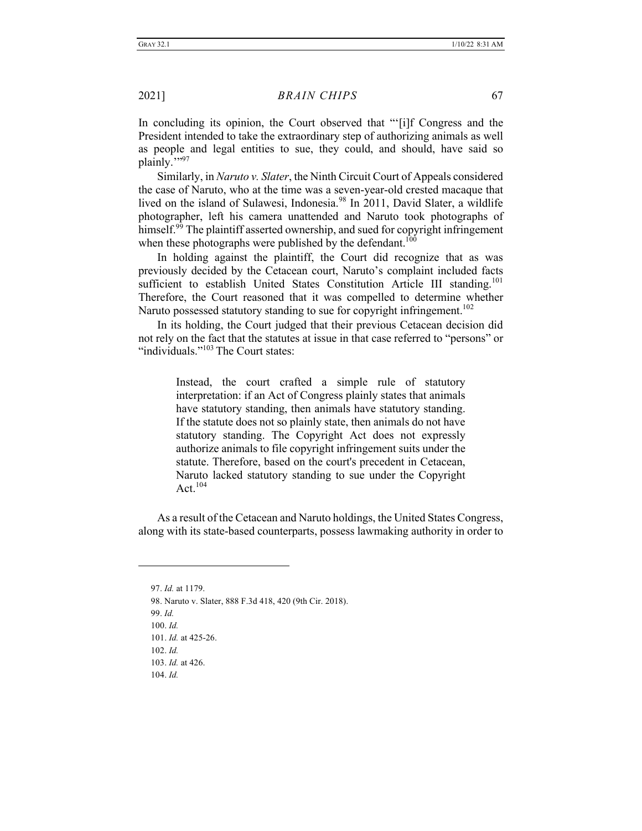In concluding its opinion, the Court observed that "'[i]f Congress and the President intended to take the extraordinary step of authorizing animals as well as people and legal entities to sue, they could, and should, have said so plainly.""97

Similarly, in *Naruto v. Slater*, the Ninth Circuit Court of Appeals considered the case of Naruto, who at the time was a seven-year-old crested macaque that lived on the island of Sulawesi, Indonesia.<sup>98</sup> In 2011, David Slater, a wildlife photographer, left his camera unattended and Naruto took photographs of himself.<sup>99</sup> The plaintiff asserted ownership, and sued for copyright infringement when these photographs were published by the defendant.<sup>100</sup>

In holding against the plaintiff, the Court did recognize that as was previously decided by the Cetacean court, Naruto's complaint included facts sufficient to establish United States Constitution Article III standing.<sup>101</sup> Therefore, the Court reasoned that it was compelled to determine whether Naruto possessed statutory standing to sue for copyright infringement.<sup>102</sup>

In its holding, the Court judged that their previous Cetacean decision did not rely on the fact that the statutes at issue in that case referred to "persons" or "individuals."<sup>103</sup> The Court states:

> Instead, the court crafted a simple rule of statutory interpretation: if an Act of Congress plainly states that animals have statutory standing, then animals have statutory standing. If the statute does not so plainly state, then animals do not have statutory standing. The Copyright Act does not expressly authorize animals to file copyright infringement suits under the statute. Therefore, based on the court's precedent in Cetacean, Naruto lacked statutory standing to sue under the Copyright Act $104$

As a result of the Cetacean and Naruto holdings, the United States Congress, along with its state-based counterparts, possess lawmaking authority in order to

97. *Id.* at 1179. 98. Naruto v. Slater, 888 F.3d 418, 420 (9th Cir. 2018). 99. *Id.* 100. *Id.*  101. *Id.* at 425-26. 102. *Id.*  103. *Id.* at 426. 104. *Id.*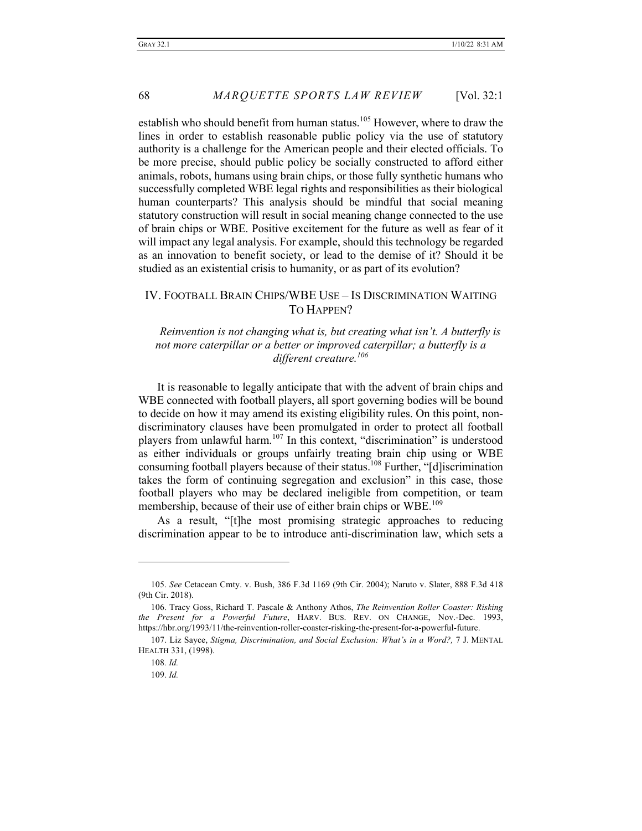establish who should benefit from human status.<sup>105</sup> However, where to draw the lines in order to establish reasonable public policy via the use of statutory authority is a challenge for the American people and their elected officials. To be more precise, should public policy be socially constructed to afford either animals, robots, humans using brain chips, or those fully synthetic humans who successfully completed WBE legal rights and responsibilities as their biological human counterparts? This analysis should be mindful that social meaning statutory construction will result in social meaning change connected to the use of brain chips or WBE. Positive excitement for the future as well as fear of it will impact any legal analysis. For example, should this technology be regarded as an innovation to benefit society, or lead to the demise of it? Should it be studied as an existential crisis to humanity, or as part of its evolution?

### IV. FOOTBALL BRAIN CHIPS/WBE USE – IS DISCRIMINATION WAITING TO HAPPEN?

*Reinvention is not changing what is, but creating what isn't. A butterfly is not more caterpillar or a better or improved caterpillar; a butterfly is a different creature.106*

It is reasonable to legally anticipate that with the advent of brain chips and WBE connected with football players, all sport governing bodies will be bound to decide on how it may amend its existing eligibility rules. On this point, nondiscriminatory clauses have been promulgated in order to protect all football players from unlawful harm.<sup>107</sup> In this context, "discrimination" is understood as either individuals or groups unfairly treating brain chip using or WBE consuming football players because of their status.<sup>108</sup> Further, "[d]iscrimination takes the form of continuing segregation and exclusion" in this case, those football players who may be declared ineligible from competition, or team membership, because of their use of either brain chips or WBE.<sup>109</sup>

As a result, "[t]he most promising strategic approaches to reducing discrimination appear to be to introduce anti-discrimination law, which sets a

<sup>105.</sup> *See* Cetacean Cmty. v. Bush, 386 F.3d 1169 (9th Cir. 2004); Naruto v. Slater, 888 F.3d 418 (9th Cir. 2018).

<sup>106.</sup> Tracy Goss, Richard T. Pascale & Anthony Athos, *The Reinvention Roller Coaster: Risking the Present for a Powerful Future*, HARV. BUS. REV. ON CHANGE, Nov.-Dec. 1993, https://hbr.org/1993/11/the-reinvention-roller-coaster-risking-the-present-for-a-powerful-future.

<sup>107.</sup> Liz Sayce, *Stigma, Discrimination, and Social Exclusion: What's in a Word?,* 7 J. MENTAL HEALTH 331, (1998).

<sup>108</sup>*. Id.*

<sup>109.</sup> *Id.*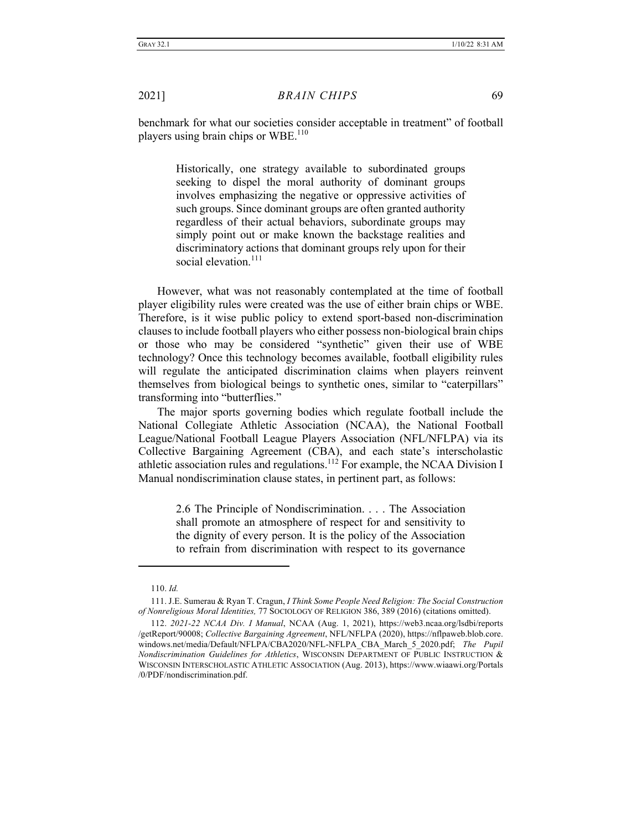benchmark for what our societies consider acceptable in treatment" of football players using brain chips or WBE.<sup>110</sup>

> Historically, one strategy available to subordinated groups seeking to dispel the moral authority of dominant groups involves emphasizing the negative or oppressive activities of such groups. Since dominant groups are often granted authority regardless of their actual behaviors, subordinate groups may simply point out or make known the backstage realities and discriminatory actions that dominant groups rely upon for their social elevation.<sup>111</sup>

However, what was not reasonably contemplated at the time of football player eligibility rules were created was the use of either brain chips or WBE. Therefore, is it wise public policy to extend sport-based non-discrimination clauses to include football players who either possess non-biological brain chips or those who may be considered "synthetic" given their use of WBE technology? Once this technology becomes available, football eligibility rules will regulate the anticipated discrimination claims when players reinvent themselves from biological beings to synthetic ones, similar to "caterpillars" transforming into "butterflies."

The major sports governing bodies which regulate football include the National Collegiate Athletic Association (NCAA), the National Football League/National Football League Players Association (NFL/NFLPA) via its Collective Bargaining Agreement (CBA), and each state's interscholastic athletic association rules and regulations.<sup>112</sup> For example, the NCAA Division I Manual nondiscrimination clause states, in pertinent part, as follows:

> 2.6 The Principle of Nondiscrimination. . . . The Association shall promote an atmosphere of respect for and sensitivity to the dignity of every person. It is the policy of the Association to refrain from discrimination with respect to its governance

<sup>110.</sup> *Id.*

<sup>111.</sup> J.E. Sumerau & Ryan T. Cragun, *I Think Some People Need Religion: The Social Construction of Nonreligious Moral Identities,* 77 SOCIOLOGY OF RELIGION 386, 389 (2016) (citations omitted).

<sup>112.</sup> *2021-22 NCAA Div. I Manual*, NCAA (Aug. 1, 2021), https://web3.ncaa.org/lsdbi/reports /getReport/90008; *Collective Bargaining Agreement*, NFL/NFLPA (2020), https://nflpaweb.blob.core. windows.net/media/Default/NFLPA/CBA2020/NFL-NFLPA\_CBA\_March\_5\_2020.pdf; *The Pupil Nondiscrimination Guidelines for Athletics*, WISCONSIN DEPARTMENT OF PUBLIC INSTRUCTION & WISCONSIN INTERSCHOLASTIC ATHLETIC ASSOCIATION (Aug. 2013), https://www.wiaawi.org/Portals /0/PDF/nondiscrimination.pdf.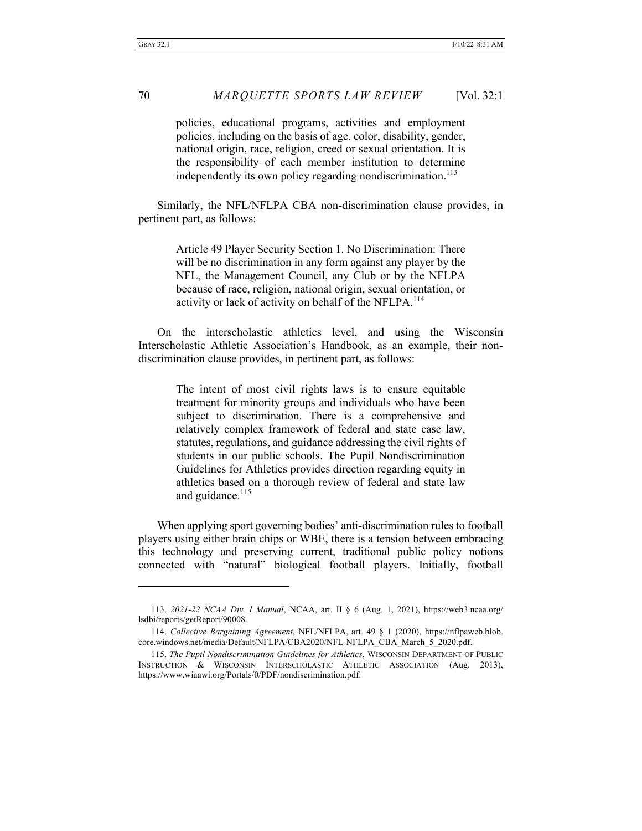policies, educational programs, activities and employment policies, including on the basis of age, color, disability, gender, national origin, race, religion, creed or sexual orientation. It is the responsibility of each member institution to determine independently its own policy regarding nondiscrimination.<sup>113</sup>

Similarly, the NFL/NFLPA CBA non-discrimination clause provides, in pertinent part, as follows:

> Article 49 Player Security Section 1. No Discrimination: There will be no discrimination in any form against any player by the NFL, the Management Council, any Club or by the NFLPA because of race, religion, national origin, sexual orientation, or activity or lack of activity on behalf of the NFLPA.<sup>114</sup>

On the interscholastic athletics level, and using the Wisconsin Interscholastic Athletic Association's Handbook, as an example, their nondiscrimination clause provides, in pertinent part, as follows:

> The intent of most civil rights laws is to ensure equitable treatment for minority groups and individuals who have been subject to discrimination. There is a comprehensive and relatively complex framework of federal and state case law, statutes, regulations, and guidance addressing the civil rights of students in our public schools. The Pupil Nondiscrimination Guidelines for Athletics provides direction regarding equity in athletics based on a thorough review of federal and state law and guidance.<sup>115</sup>

When applying sport governing bodies' anti-discrimination rules to football players using either brain chips or WBE, there is a tension between embracing this technology and preserving current, traditional public policy notions connected with "natural" biological football players. Initially, football

<sup>113.</sup> *2021-22 NCAA Div. I Manual*, NCAA, art. II § 6 (Aug. 1, 2021), https://web3.ncaa.org/ lsdbi/reports/getReport/90008.

<sup>114.</sup> *Collective Bargaining Agreement*, NFL/NFLPA, art. 49 § 1 (2020), https://nflpaweb.blob. core.windows.net/media/Default/NFLPA/CBA2020/NFL-NFLPA\_CBA\_March\_5\_2020.pdf.

<sup>115.</sup> *The Pupil Nondiscrimination Guidelines for Athletics*, WISCONSIN DEPARTMENT OF PUBLIC INSTRUCTION & WISCONSIN INTERSCHOLASTIC ATHLETIC ASSOCIATION (Aug. 2013), https://www.wiaawi.org/Portals/0/PDF/nondiscrimination.pdf.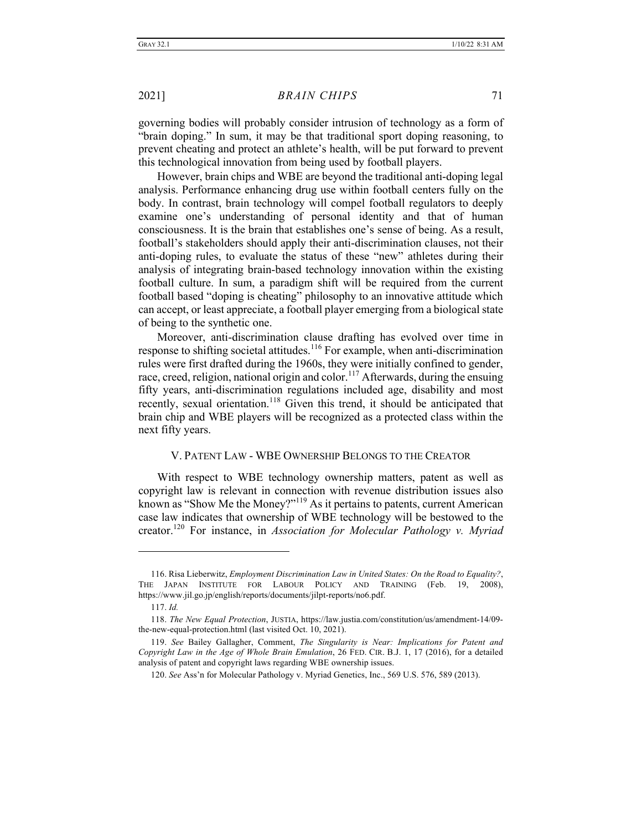governing bodies will probably consider intrusion of technology as a form of "brain doping." In sum, it may be that traditional sport doping reasoning, to prevent cheating and protect an athlete's health, will be put forward to prevent this technological innovation from being used by football players.

However, brain chips and WBE are beyond the traditional anti-doping legal analysis. Performance enhancing drug use within football centers fully on the body. In contrast, brain technology will compel football regulators to deeply examine one's understanding of personal identity and that of human consciousness. It is the brain that establishes one's sense of being. As a result, football's stakeholders should apply their anti-discrimination clauses, not their anti-doping rules, to evaluate the status of these "new" athletes during their analysis of integrating brain-based technology innovation within the existing football culture. In sum, a paradigm shift will be required from the current football based "doping is cheating" philosophy to an innovative attitude which can accept, or least appreciate, a football player emerging from a biological state of being to the synthetic one.

Moreover, anti-discrimination clause drafting has evolved over time in response to shifting societal attitudes.<sup>116</sup> For example, when anti-discrimination rules were first drafted during the 1960s, they were initially confined to gender, race, creed, religion, national origin and color.<sup>117</sup> Afterwards, during the ensuing fifty years, anti-discrimination regulations included age, disability and most recently, sexual orientation.<sup>118</sup> Given this trend, it should be anticipated that brain chip and WBE players will be recognized as a protected class within the next fifty years.

#### V. PATENT LAW - WBE OWNERSHIP BELONGS TO THE CREATOR

With respect to WBE technology ownership matters, patent as well as copyright law is relevant in connection with revenue distribution issues also known as "Show Me the Money?"<sup>119</sup> As it pertains to patents, current American case law indicates that ownership of WBE technology will be bestowed to the creator.<sup>120</sup> For instance, in *Association for Molecular Pathology v. Myriad* 

<sup>116.</sup> Risa Lieberwitz, *Employment Discrimination Law in United States: On the Road to Equality?*, THE JAPAN INSTITUTE FOR LABOUR POLICY AND TRAINING (Feb. 19, 2008), https://www.jil.go.jp/english/reports/documents/jilpt-reports/no6.pdf.

<sup>117.</sup> *Id.*

<sup>118.</sup> *The New Equal Protection*, JUSTIA, https://law.justia.com/constitution/us/amendment-14/09 the-new-equal-protection.html (last visited Oct. 10, 2021).

<sup>119.</sup> *See* Bailey Gallagher, Comment, *The Singularity is Near: Implications for Patent and Copyright Law in the Age of Whole Brain Emulation*, 26 FED. CIR. B.J. 1, 17 (2016), for a detailed analysis of patent and copyright laws regarding WBE ownership issues.

<sup>120.</sup> *See* Ass'n for Molecular Pathology v. Myriad Genetics, Inc., 569 U.S. 576, 589 (2013).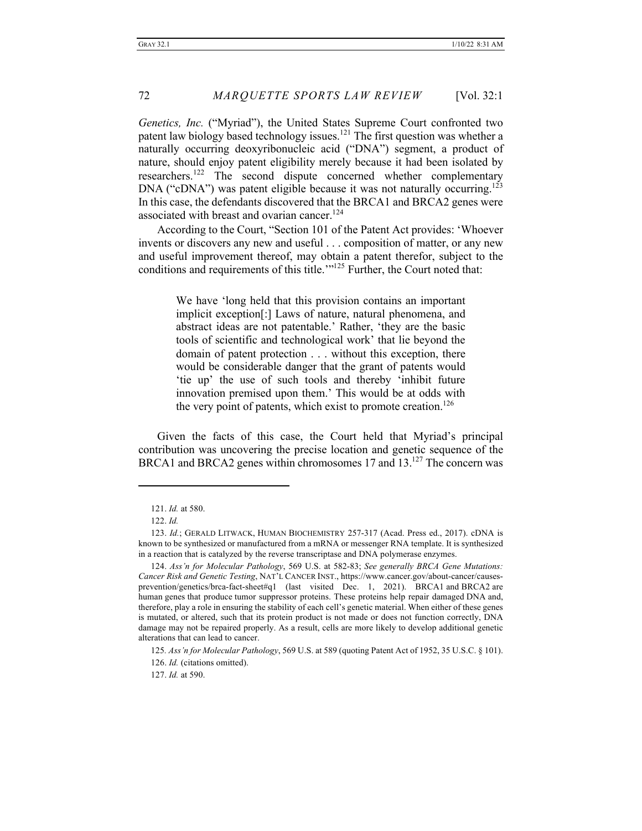*Genetics, Inc.* ("Myriad"), the United States Supreme Court confronted two patent law biology based technology issues.<sup>121</sup> The first question was whether a naturally occurring deoxyribonucleic acid ("DNA") segment, a product of nature, should enjoy patent eligibility merely because it had been isolated by researchers.<sup>122</sup> The second dispute concerned whether complementary DNA ("cDNA") was patent eligible because it was not naturally occurring.<sup>123</sup> In this case, the defendants discovered that the BRCA1 and BRCA2 genes were associated with breast and ovarian cancer.<sup>124</sup>

According to the Court, "Section 101 of the Patent Act provides: 'Whoever invents or discovers any new and useful . . . composition of matter, or any new and useful improvement thereof, may obtain a patent therefor, subject to the conditions and requirements of this title.'"<sup>125</sup> Further, the Court noted that:

> We have 'long held that this provision contains an important implicit exception[:] Laws of nature, natural phenomena, and abstract ideas are not patentable.' Rather, 'they are the basic tools of scientific and technological work' that lie beyond the domain of patent protection . . . without this exception, there would be considerable danger that the grant of patents would 'tie up' the use of such tools and thereby 'inhibit future innovation premised upon them.' This would be at odds with the very point of patents, which exist to promote creation.<sup>126</sup>

Given the facts of this case, the Court held that Myriad's principal contribution was uncovering the precise location and genetic sequence of the BRCA1 and BRCA2 genes within chromosomes 17 and 13.<sup>127</sup> The concern was

127. *Id.* at 590.

<sup>121.</sup> *Id.* at 580.

<sup>122.</sup> *Id.*

<sup>123.</sup> *Id.*; GERALD LITWACK, HUMAN BIOCHEMISTRY 257-317 (Acad. Press ed., 2017). cDNA is known to be synthesized or manufactured from a mRNA or messenger RNA template. It is synthesized in a reaction that is catalyzed by the reverse transcriptase and DNA polymerase enzymes.

<sup>124.</sup> *Ass'n for Molecular Pathology*, 569 U.S. at 582-83; *See generally BRCA Gene Mutations: Cancer Risk and Genetic Testing*, NAT'L CANCER INST., https://www.cancer.gov/about-cancer/causesprevention/genetics/brca-fact-sheet#q1 (last visited Dec. 1, 2021). BRCA1 and BRCA2 are human genes that produce tumor suppressor proteins. These proteins help repair damaged DNA and, therefore, play a role in ensuring the stability of each cell's genetic material. When either of these genes is mutated, or altered, such that its protein product is not made or does not function correctly, DNA damage may not be repaired properly. As a result, cells are more likely to develop additional genetic alterations that can lead to cancer.

<sup>125</sup>*. Ass'n for Molecular Pathology*, 569 U.S. at 589 (quoting Patent Act of 1952, 35 U.S.C. § 101).

<sup>126.</sup> *Id.* (citations omitted).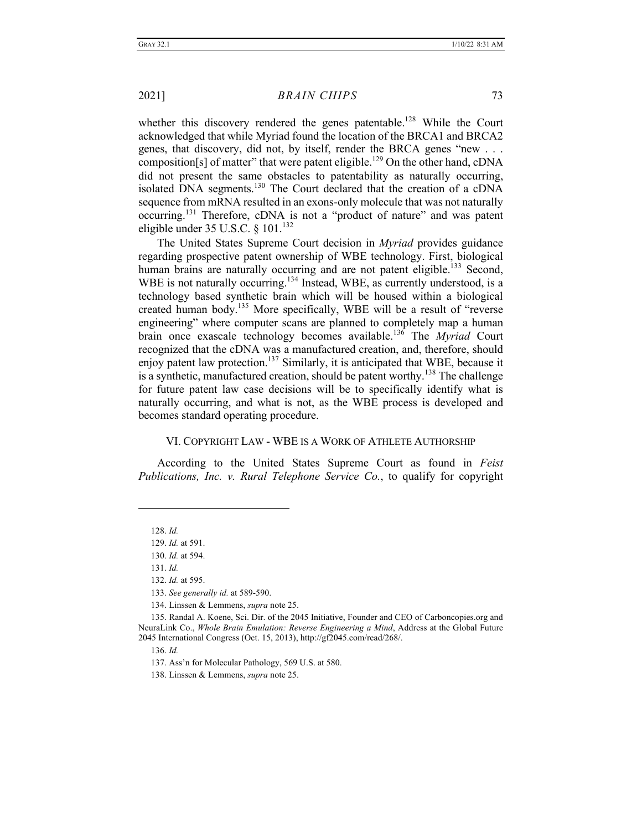whether this discovery rendered the genes patentable.<sup>128</sup> While the Court acknowledged that while Myriad found the location of the BRCA1 and BRCA2 genes, that discovery, did not, by itself, render the BRCA genes "new . . . composition[s] of matter" that were patent eligible.<sup>129</sup> On the other hand, cDNA did not present the same obstacles to patentability as naturally occurring, isolated DNA segments.<sup>130</sup> The Court declared that the creation of a cDNA sequence from mRNA resulted in an exons-only molecule that was not naturally occurring.131 Therefore, cDNA is not a "product of nature" and was patent eligible under  $35$  U.S.C.  $\frac{8}{101}$ .<sup>132</sup>

The United States Supreme Court decision in *Myriad* provides guidance regarding prospective patent ownership of WBE technology. First, biological human brains are naturally occurring and are not patent eligible.<sup>133</sup> Second, WBE is not naturally occurring.<sup>134</sup> Instead, WBE, as currently understood, is a technology based synthetic brain which will be housed within a biological created human body.<sup>135</sup> More specifically, WBE will be a result of "reverse" engineering" where computer scans are planned to completely map a human brain once exascale technology becomes available.<sup>136</sup> The *Myriad* Court recognized that the cDNA was a manufactured creation, and, therefore, should enjoy patent law protection.<sup>137</sup> Similarly, it is anticipated that WBE, because it is a synthetic, manufactured creation, should be patent worthy.<sup>138</sup> The challenge for future patent law case decisions will be to specifically identify what is naturally occurring, and what is not, as the WBE process is developed and becomes standard operating procedure.

#### VI. COPYRIGHT LAW - WBE IS A WORK OF ATHLETE AUTHORSHIP

According to the United States Supreme Court as found in *Feist Publications, Inc. v. Rural Telephone Service Co.*, to qualify for copyright

128. *Id.*

131. *Id.*

136. *Id.*

138. Linssen & Lemmens, *supra* note 25.

<sup>129.</sup> *Id.* at 591.

<sup>130.</sup> *Id.* at 594.

<sup>132.</sup> *Id.* at 595.

<sup>133.</sup> *See generally id.* at 589-590.

<sup>134.</sup> Linssen & Lemmens, *supra* note 25.

<sup>135.</sup> Randal A. Koene, Sci. Dir. of the 2045 Initiative, Founder and CEO of Carboncopies.org and NeuraLink Co., *Whole Brain Emulation: Reverse Engineering a Mind*, Address at the Global Future 2045 International Congress (Oct. 15, 2013), http://gf2045.com/read/268/.

<sup>137.</sup> Ass'n for Molecular Pathology, 569 U.S. at 580.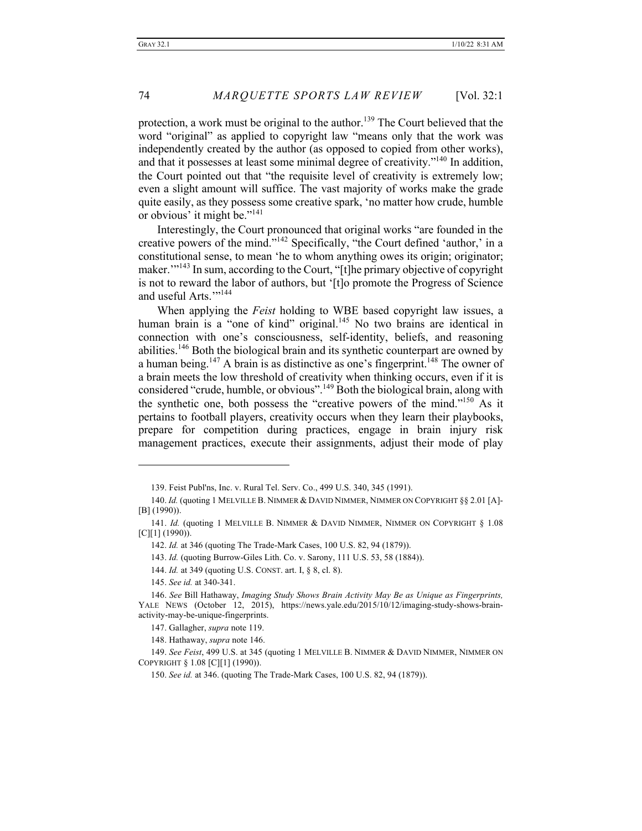protection, a work must be original to the author.<sup>139</sup> The Court believed that the word "original" as applied to copyright law "means only that the work was independently created by the author (as opposed to copied from other works), and that it possesses at least some minimal degree of creativity."140 In addition, the Court pointed out that "the requisite level of creativity is extremely low; even a slight amount will suffice. The vast majority of works make the grade quite easily, as they possess some creative spark, 'no matter how crude, humble or obvious' it might be."141

Interestingly, the Court pronounced that original works "are founded in the creative powers of the mind."142 Specifically, "the Court defined 'author,' in a constitutional sense, to mean 'he to whom anything owes its origin; originator; maker."<sup>143</sup> In sum, according to the Court, "[t]he primary objective of copyright is not to reward the labor of authors, but '[t]o promote the Progress of Science and useful Arts."<sup>144</sup>

When applying the *Feist* holding to WBE based copyright law issues, a human brain is a "one of kind" original.<sup>145</sup> No two brains are identical in connection with one's consciousness, self-identity, beliefs, and reasoning abilities.<sup>146</sup> Both the biological brain and its synthetic counterpart are owned by a human being.<sup>147</sup> A brain is as distinctive as one's fingerprint.<sup>148</sup> The owner of a brain meets the low threshold of creativity when thinking occurs, even if it is considered "crude, humble, or obvious".<sup>149</sup> Both the biological brain, along with the synthetic one, both possess the "creative powers of the mind."<sup>150</sup> As it pertains to football players, creativity occurs when they learn their playbooks, prepare for competition during practices, engage in brain injury risk management practices, execute their assignments, adjust their mode of play

<sup>139.</sup> Feist Publ'ns, Inc. v. Rural Tel. Serv. Co., 499 U.S. 340, 345 (1991).

<sup>140.</sup> *Id.* (quoting 1 MELVILLE B. NIMMER & DAVID NIMMER, NIMMER ON COPYRIGHT §§ 2.01 [A]- [B] (1990)).

<sup>141.</sup> *Id.* (quoting 1 MELVILLE B. NIMMER & DAVID NIMMER, NIMMER ON COPYRIGHT § 1.08 [C][1] (1990)).

<sup>142.</sup> *Id.* at 346 (quoting The Trade-Mark Cases, 100 U.S. 82, 94 (1879)).

<sup>143.</sup> *Id.* (quoting Burrow-Giles Lith. Co. v. Sarony, 111 U.S. 53, 58 (1884)).

<sup>144.</sup> *Id.* at 349 (quoting U.S. CONST. art. I, § 8, cl. 8).

<sup>145.</sup> *See id.* at 340-341.

<sup>146.</sup> *See* Bill Hathaway, *Imaging Study Shows Brain Activity May Be as Unique as Fingerprints,*  YALE NEWS (October 12, 2015), https://news.yale.edu/2015/10/12/imaging-study-shows-brainactivity-may-be-unique-fingerprints.

<sup>147.</sup> Gallagher, *supra* note 119.

<sup>148.</sup> Hathaway, *supra* note 146.

<sup>149.</sup> *See Feist*, 499 U.S. at 345 (quoting 1 MELVILLE B. NIMMER & DAVID NIMMER, NIMMER ON COPYRIGHT § 1.08 [C][1] (1990)).

<sup>150.</sup> *See id.* at 346. (quoting The Trade-Mark Cases, 100 U.S. 82, 94 (1879)).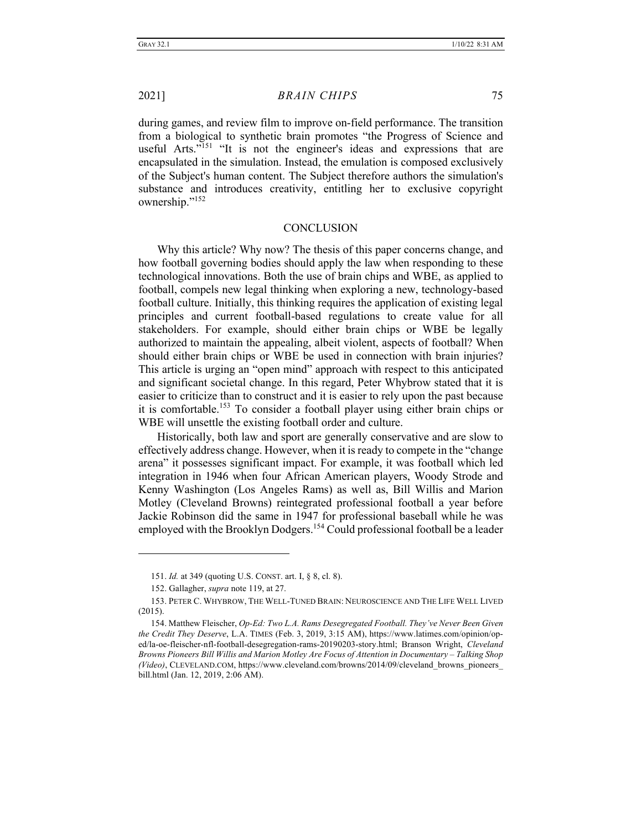during games, and review film to improve on-field performance. The transition from a biological to synthetic brain promotes "the Progress of Science and useful Arts."<sup>151</sup> "It is not the engineer's ideas and expressions that are encapsulated in the simulation. Instead, the emulation is composed exclusively of the Subject's human content. The Subject therefore authors the simulation's substance and introduces creativity, entitling her to exclusive copyright ownership."<sup>152</sup>

#### **CONCLUSION**

Why this article? Why now? The thesis of this paper concerns change, and how football governing bodies should apply the law when responding to these technological innovations. Both the use of brain chips and WBE, as applied to football, compels new legal thinking when exploring a new, technology-based football culture. Initially, this thinking requires the application of existing legal principles and current football-based regulations to create value for all stakeholders. For example, should either brain chips or WBE be legally authorized to maintain the appealing, albeit violent, aspects of football? When should either brain chips or WBE be used in connection with brain injuries? This article is urging an "open mind" approach with respect to this anticipated and significant societal change. In this regard, Peter Whybrow stated that it is easier to criticize than to construct and it is easier to rely upon the past because it is comfortable.153 To consider a football player using either brain chips or WBE will unsettle the existing football order and culture.

Historically, both law and sport are generally conservative and are slow to effectively address change. However, when it is ready to compete in the "change arena" it possesses significant impact. For example, it was football which led integration in 1946 when four African American players, Woody Strode and Kenny Washington (Los Angeles Rams) as well as, Bill Willis and Marion Motley (Cleveland Browns) reintegrated professional football a year before Jackie Robinson did the same in 1947 for professional baseball while he was employed with the Brooklyn Dodgers.<sup>154</sup> Could professional football be a leader

<sup>151.</sup> *Id.* at 349 (quoting U.S. CONST. art. I, § 8, cl. 8).

<sup>152.</sup> Gallagher, *supra* note 119, at 27.

<sup>153.</sup> PETER C. WHYBROW, THE WELL-TUNED BRAIN: NEUROSCIENCE AND THE LIFE WELL LIVED (2015).

<sup>154.</sup> Matthew Fleischer, *Op-Ed: Two L.A. Rams Desegregated Football. They've Never Been Given the Credit They Deserve*, L.A. TIMES (Feb. 3, 2019, 3:15 AM), https://www.latimes.com/opinion/oped/la-oe-fleischer-nfl-football-desegregation-rams-20190203-story.html; Branson Wright, *Cleveland Browns Pioneers Bill Willis and Marion Motley Are Focus of Attention in Documentary – Talking Shop (Video)*, CLEVELAND.COM, https://www.cleveland.com/browns/2014/09/cleveland\_browns\_pioneers\_ bill.html (Jan. 12, 2019, 2:06 AM).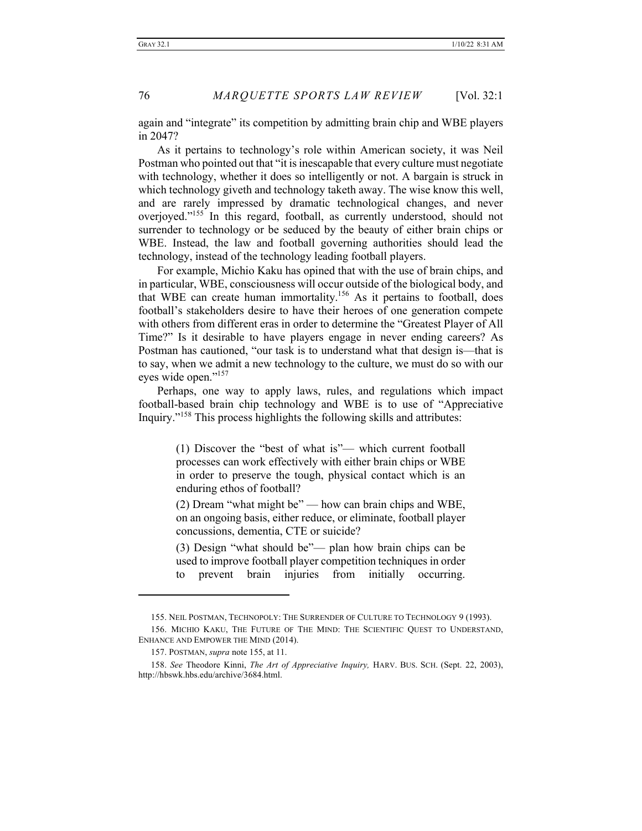again and "integrate" its competition by admitting brain chip and WBE players in 2047?

As it pertains to technology's role within American society, it was Neil Postman who pointed out that "it is inescapable that every culture must negotiate with technology, whether it does so intelligently or not. A bargain is struck in which technology giveth and technology taketh away. The wise know this well, and are rarely impressed by dramatic technological changes, and never overjoyed."155 In this regard, football, as currently understood, should not surrender to technology or be seduced by the beauty of either brain chips or WBE. Instead, the law and football governing authorities should lead the technology, instead of the technology leading football players.

For example, Michio Kaku has opined that with the use of brain chips, and in particular, WBE, consciousness will occur outside of the biological body, and that WBE can create human immortality.156 As it pertains to football, does football's stakeholders desire to have their heroes of one generation compete with others from different eras in order to determine the "Greatest Player of All Time?" Is it desirable to have players engage in never ending careers? As Postman has cautioned, "our task is to understand what that design is—that is to say, when we admit a new technology to the culture, we must do so with our eyes wide open."<sup>157</sup>

Perhaps, one way to apply laws, rules, and regulations which impact football-based brain chip technology and WBE is to use of "Appreciative Inquiry."<sup>158</sup> This process highlights the following skills and attributes:

> (1) Discover the "best of what is"— which current football processes can work effectively with either brain chips or WBE in order to preserve the tough, physical contact which is an enduring ethos of football?

> (2) Dream "what might be" — how can brain chips and WBE, on an ongoing basis, either reduce, or eliminate, football player concussions, dementia, CTE or suicide?

> (3) Design "what should be"— plan how brain chips can be used to improve football player competition techniques in order to prevent brain injuries from initially occurring.

<sup>155.</sup> NEIL POSTMAN, TECHNOPOLY: THE SURRENDER OF CULTURE TO TECHNOLOGY 9 (1993).

<sup>156.</sup> MICHIO KAKU, THE FUTURE OF THE MIND: THE SCIENTIFIC QUEST TO UNDERSTAND, ENHANCE AND EMPOWER THE MIND (2014).

<sup>157.</sup> POSTMAN, *supra* note 155, at 11.

<sup>158.</sup> *See* Theodore Kinni, *The Art of Appreciative Inquiry,* HARV. BUS. SCH. (Sept. 22, 2003), http://hbswk.hbs.edu/archive/3684.html.